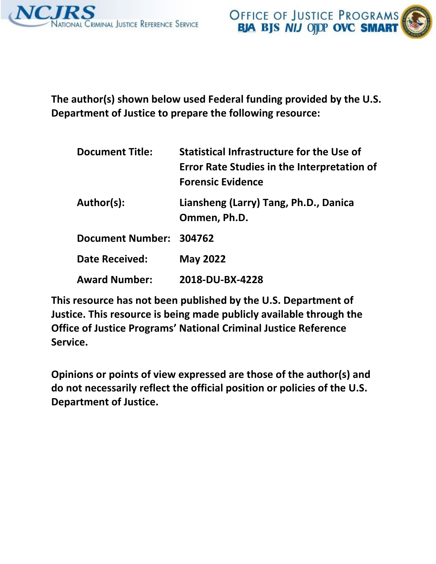



 **The author(s) shown below used Federal funding provided by the U.S. Department of Justice to prepare the following resource:** 

| <b>Document Title:</b>  | Statistical Infrastructure for the Use of<br><b>Error Rate Studies in the Interpretation of</b><br><b>Forensic Evidence</b> |  |  |  |  |
|-------------------------|-----------------------------------------------------------------------------------------------------------------------------|--|--|--|--|
| Author(s):              | Liansheng (Larry) Tang, Ph.D., Danica<br>Ommen, Ph.D.                                                                       |  |  |  |  |
| Document Number: 304762 |                                                                                                                             |  |  |  |  |
| <b>Date Received:</b>   | <b>May 2022</b>                                                                                                             |  |  |  |  |
| <b>Award Number:</b>    | 2018-DU-BX-4228                                                                                                             |  |  |  |  |

 **This resource has not been published by the U.S. Department of Justice. This resource is being made publicly available through the Office of Justice Programs' National Criminal Justice Reference Service.** 

 **Opinions or points of view expressed are those of the author(s) and do not necessarily reflect the official position or policies of the U.S. Department of Justice.**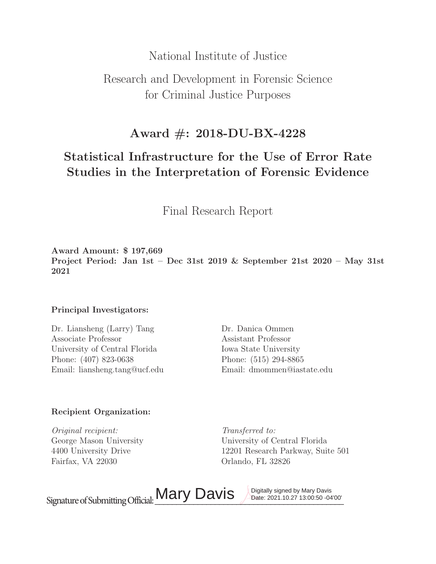# National Institute of Justice

# Research and Development in Forensic Science for Criminal Justice Purposes

# **Award #: 2018-DU-BX-4228**

# **Statistical Infrastructure for the Use of Error Rate Studies in the Interpretation of Forensic Evidence**

Final Research Report

**Award Amount:** \$ **197,669 Project Period: Jan 1st – Dec 31st 2019 & September 21st 2020 – May 31st 2021**

# **Principal Investigators:**

Dr. Liansheng (Larry) Tang Dr. Danica Ommen Associate Professor Assistant Professor University of Central Florida Iowa State University Phone: (407) 823-0638 Phone: (515) 294-8865 Email: liansheng.tang@ucf.edu Email: dmommen@iastate.edu

# **Recipient Organization:**

Original recipient: Transferred to: Fairfax, VA 22030 Orlando, FL 32826

George Mason University University of Central Florida 4400 University Drive 12201 Research Parkway, Suite 501

Signature of Submitting Official: Mary Davis Davis Date: 2021.10.27 13:00:50 -04'00'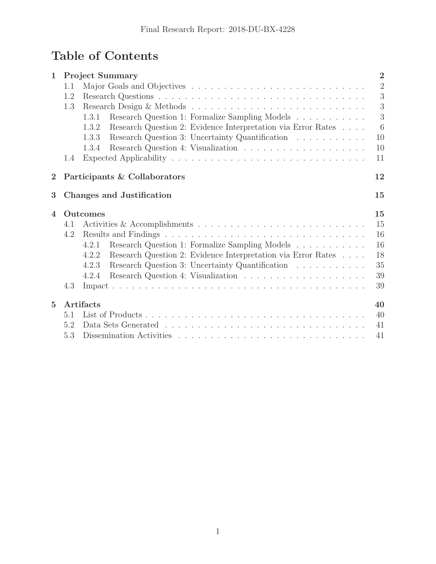# **Table of Contents**

| $\mathbf 1$             | $\overline{2}$<br><b>Project Summary</b> |                                                                       |                |  |  |  |  |
|-------------------------|------------------------------------------|-----------------------------------------------------------------------|----------------|--|--|--|--|
|                         | 1.1                                      |                                                                       | $\overline{2}$ |  |  |  |  |
|                         | 1.2                                      |                                                                       | 3              |  |  |  |  |
|                         | 1.3                                      |                                                                       | 3              |  |  |  |  |
|                         |                                          | Research Question 1: Formalize Sampling Models<br>1.3.1               | 3              |  |  |  |  |
|                         |                                          | Research Question 2: Evidence Interpretation via Error Rates<br>1.3.2 | 6              |  |  |  |  |
|                         |                                          | Research Question 3: Uncertainty Quantification<br>1.3.3              | 10             |  |  |  |  |
|                         |                                          | 1.3.4                                                                 | 10             |  |  |  |  |
|                         | 1.4                                      |                                                                       | 11             |  |  |  |  |
| $\overline{2}$          |                                          | Participants & Collaborators                                          | 12             |  |  |  |  |
| $\overline{\mathbf{3}}$ |                                          | <b>Changes and Justification</b>                                      | 15             |  |  |  |  |
|                         |                                          |                                                                       |                |  |  |  |  |
| 4                       |                                          | Outcomes                                                              | 15             |  |  |  |  |
|                         | 4.1                                      |                                                                       | 15             |  |  |  |  |
|                         | 4.2                                      |                                                                       | 16             |  |  |  |  |
|                         |                                          | Research Question 1: Formalize Sampling Models<br>4.2.1               | 16             |  |  |  |  |
|                         |                                          | 4.2.2<br>Research Question 2: Evidence Interpretation via Error Rates | 18             |  |  |  |  |
|                         |                                          | Research Question 3: Uncertainty Quantification<br>4.2.3              | 35             |  |  |  |  |
|                         |                                          | 4.2.4                                                                 | 39             |  |  |  |  |
|                         | 4.3                                      |                                                                       | 39             |  |  |  |  |
| $\overline{5}$          |                                          | Artifacts                                                             | 40             |  |  |  |  |
|                         | 5.1                                      |                                                                       | 40             |  |  |  |  |
|                         | 5.2                                      |                                                                       | 41             |  |  |  |  |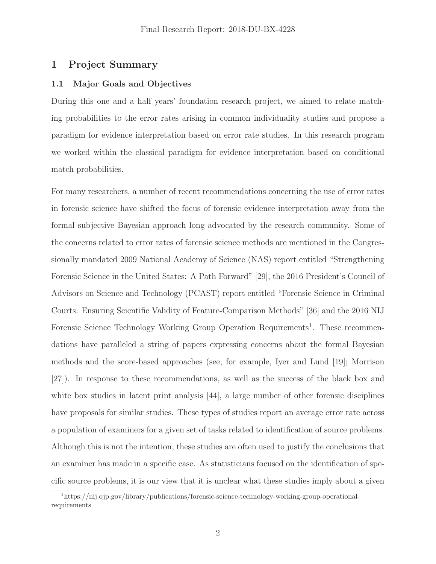# <span id="page-3-0"></span>**1 Project Summary**

## **1.1 Major Goals and Objectives**

During this one and a half years' foundation research project, we aimed to relate matching probabilities to the error rates arising in common individuality studies and propose a paradigm for evidence interpretation based on error rate studies. In this research program we worked within the classical paradigm for evidence interpretation based on conditional match probabilities.

For many researchers, a number of recent recommendations concerning the use of error rates in forensic science have shifted the focus of forensic evidence interpretation away from the formal subjective Bayesian approach long advocated by the research community. Some of the concerns related to error rates of forensic science methods are mentioned in the Congressionally mandated 2009 National Academy of Science (NAS) report entitled "Strengthening Forensic Science in the United States: A Path Forward" [29], the 2016 President's Council of Advisors on Science and Technology (PCAST) report entitled "Forensic Science in Criminal Courts: Ensuring Scientific Validity of Feature-Comparison Methods" [36] and the 2016 NIJ Forensic Science Technology Working Group Operation Requirements<sup>1</sup>. These recommendations have paralleled a string of papers expressing concerns about the formal Bayesian methods and the score-based approaches (see, for example, Iyer and Lund [19]; Morrison [27]). In response to these recommendations, as well as the success of the black box and white box studies in latent print analysis [44], a large number of other forensic disciplines have proposals for similar studies. These types of studies report an average error rate across a population of examiners for a given set of tasks related to identification of source problems. Although this is not the intention, these studies are often used to justify the conclusions that an examiner has made in a specific case. As statisticians focused on the identification of specific source problems, it is our view that it is unclear what these studies imply about a given

<sup>1</sup> $h^{\text{max}}/h^{\text{max}}$  ,  $h^{\text{max}}/h^{\text{max}}/h^{\text{max}}$  ,  $h^{\text{max}}/h^{\text{max}}$  ,  $h^{\text{max}}/h^{\text{max}}$  ,  $h^{\text{max}}/h^{\text{max}}$  ,  $h^{\text{max}}$  ,  $h^{\text{max}}$  ,  $h^{\text{max}}$  ,  $h^{\text{max}}$  ,  $h^{\text{max}}$  ,  $h^{\text{max}}$  ,  $h^{\text{max}}$  ,  $h^{\text{max}}$  ,  $h^{\text{max}}$  ,  $h^{\text$ requirements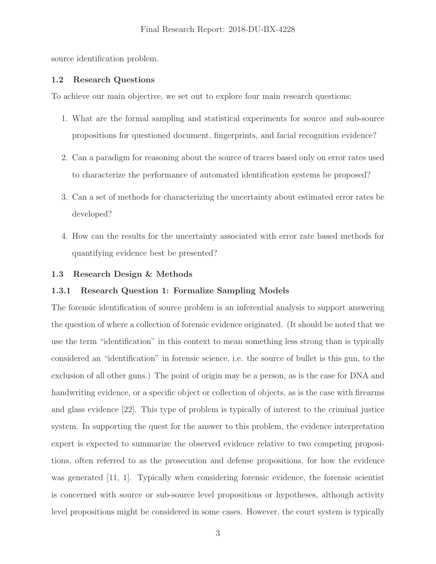<span id="page-4-0"></span>source identification problem.

#### **1.2 Research Questions**

To achieve our main objective, we set out to explore four main research questions:

- 1. What are the formal sampling and statistical experiments for source and sub-source propositions for questioned document, fingerprints, and facial recognition evidence?
- 2. Can a paradigm for reasoning about the source of traces based only on error rates used to characterize the performance of automated identification systems be proposed?
- 3. Can a set of methods for characterizing the uncertainty about estimated error rates be developed?
- 4. How can the results for the uncertainty associated with error rate based methods for quantifying evidence best be presented?

### **1.3 Research Design & Methods**

#### **1.3.1 Research Question 1: Formalize Sampling Models**

The forensic identification of source problem is an inferential analysis to support answering the question of where a collection of forensic evidence originated. (It should be noted that we use the term "identification" in this context to mean something less strong than is typically considered an "identification" in forensic science, i.e. the source of bullet is this gun, to the exclusion of all other guns.) The point of origin may be a person, as is the case for DNA and handwriting evidence, or a specific object or collection of objects, as is the case with firearms and glass evidence [22]. This type of problem is typically of interest to the criminal justice system. In supporting the quest for the answer to this problem, the evidence interpretation expert is expected to summarize the observed evidence relative to two competing propositions, often referred to as the prosecution and defense propositions, for how the evidence was generated [11, 1]. Typically when considering forensic evidence, the forensic scientist is concerned with source or sub-source level propositions or hypotheses, although activity level propositions might be considered in some cases. However, the court system is typically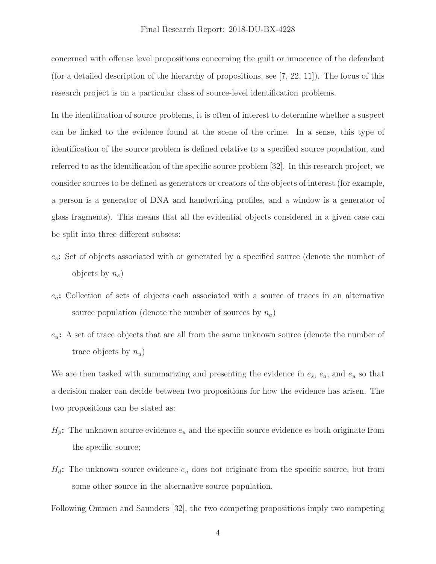concerned with offense level propositions concerning the guilt or innocence of the defendant (for a detailed description of the hierarchy of propositions, see  $[7, 22, 11]$ ). The focus of this research project is on a particular class of source-level identification problems.

In the identification of source problems, it is often of interest to determine whether a suspect can be linked to the evidence found at the scene of the crime. In a sense, this type of identification of the source problem is defined relative to a specified source population, and referred to as the identification of the specific source problem [32]. In this research project, we consider sources to be defined as generators or creators of the objects of interest (for example, a person is a generator of DNA and handwriting profiles, and a window is a generator of glass fragments). This means that all the evidential objects considered in a given case can be split into three different subsets:

- es**:** Set of objects associated with or generated by a specified source (denote the number of objects by  $n_s$ )
- ea**:** Collection of sets of objects each associated with a source of traces in an alternative source population (denote the number of sources by  $n_a$ )
- eu**:** A set of trace objects that are all from the same unknown source (denote the number of trace objects by  $n_u$ )

We are then tasked with summarizing and presenting the evidence in  $e_s$ ,  $e_a$ , and  $e_u$  so that a decision maker can decide between two propositions for how the evidence has arisen. The two propositions can be stated as:

- $H_p$ : The unknown source evidence  $e_u$  and the specific source evidence es both originate from the specific source;
- $H_d$ : The unknown source evidence  $e_u$  does not originate from the specific source, but from some other source in the alternative source population.

Following Ommen and Saunders [32], the two competing propositions imply two competing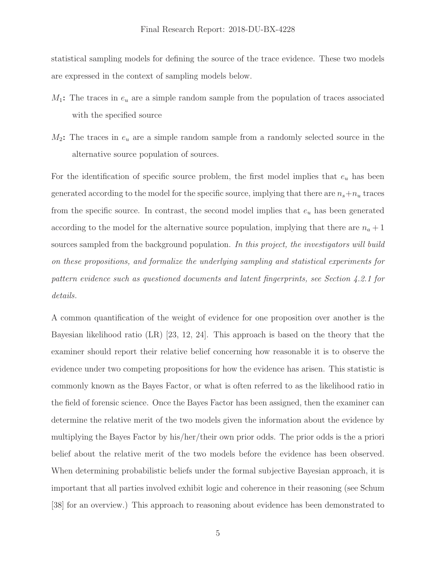statistical sampling models for defining the source of the trace evidence. These two models are expressed in the context of sampling models below.

- $M_1$ : The traces in  $e_u$  are a simple random sample from the population of traces associated with the specified source
- $M_2$ : The traces in  $e_u$  are a simple random sample from a randomly selected source in the alternative source population of sources.

For the identification of specific source problem, the first model implies that  $e_u$  has been generated according to the model for the specific source, implying that there are  $n_s+n_u$  traces from the specific source. In contrast, the second model implies that  $e_u$  has been generated according to the model for the alternative source population, implying that there are  $n_a + 1$ sources sampled from the background population. In this project, the investigators will build on these propositions, and formalize the underlying sampling and statistical experiments for pattern evidence such as questioned documents and latent fingerprints, see Section 4.2.1 for details.

A common quantification of the weight of evidence for one proposition over another is the Bayesian likelihood ratio (LR) [23, 12, 24]. This approach is based on the theory that the examiner should report their relative belief concerning how reasonable it is to observe the evidence under two competing propositions for how the evidence has arisen. This statistic is commonly known as the Bayes Factor, or what is often referred to as the likelihood ratio in the field of forensic science. Once the Bayes Factor has been assigned, then the examiner can determine the relative merit of the two models given the information about the evidence by multiplying the Bayes Factor by his/her/their own prior odds. The prior odds is the a priori belief about the relative merit of the two models before the evidence has been observed. When determining probabilistic beliefs under the formal subjective Bayesian approach, it is important that all parties involved exhibit logic and coherence in their reasoning (see Schum [38] for an overview.) This approach to reasoning about evidence has been demonstrated to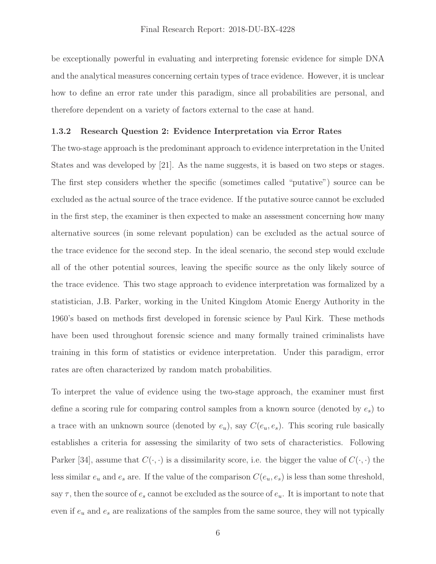<span id="page-7-0"></span>be exceptionally powerful in evaluating and interpreting forensic evidence for simple DNA and the analytical measures concerning certain types of trace evidence. However, it is unclear how to define an error rate under this paradigm, since all probabilities are personal, and therefore dependent on a variety of factors external to the case at hand.

#### **1.3.2 Research Question 2: Evidence Interpretation via Error Rates**

The two-stage approach is the predominant approach to evidence interpretation in the United States and was developed by [21]. As the name suggests, it is based on two steps or stages. The first step considers whether the specific (sometimes called "putative") source can be excluded as the actual source of the trace evidence. If the putative source cannot be excluded in the first step, the examiner is then expected to make an assessment concerning how many alternative sources (in some relevant population) can be excluded as the actual source of the trace evidence for the second step. In the ideal scenario, the second step would exclude all of the other potential sources, leaving the specific source as the only likely source of the trace evidence. This two stage approach to evidence interpretation was formalized by a statistician, J.B. Parker, working in the United Kingdom Atomic Energy Authority in the 1960's based on methods first developed in forensic science by Paul Kirk. These methods have been used throughout forensic science and many formally trained criminalists have training in this form of statistics or evidence interpretation. Under this paradigm, error rates are often characterized by random match probabilities.

To interpret the value of evidence using the two-stage approach, the examiner must first define a scoring rule for comparing control samples from a known source (denoted by  $e_s$ ) to a trace with an unknown source (denoted by  $e_u$ ), say  $C(e_u, e_s)$ . This scoring rule basically establishes a criteria for assessing the similarity of two sets of characteristics. Following Parker [34], assume that  $C(\cdot, \cdot)$  is a dissimilarity score, i.e. the bigger the value of  $C(\cdot, \cdot)$  the less similar  $e_u$  and  $e_s$  are. If the value of the comparison  $C(e_u, e_s)$  is less than some threshold, say  $\tau$ , then the source of  $e_s$  cannot be excluded as the source of  $e_u$ . It is important to note that even if  $e_u$  and  $e_s$  are realizations of the samples from the same source, they will not typically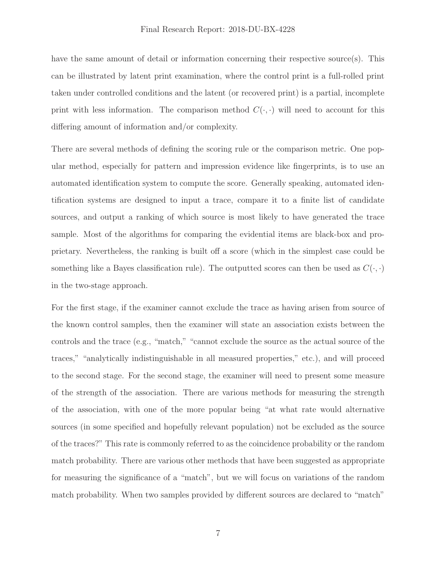have the same amount of detail or information concerning their respective source(s). This can be illustrated by latent print examination, where the control print is a full-rolled print taken under controlled conditions and the latent (or recovered print) is a partial, incomplete print with less information. The comparison method  $C(\cdot, \cdot)$  will need to account for this differing amount of information and/or complexity.

There are several methods of defining the scoring rule or the comparison metric. One popular method, especially for pattern and impression evidence like fingerprints, is to use an automated identification system to compute the score. Generally speaking, automated identification systems are designed to input a trace, compare it to a finite list of candidate sources, and output a ranking of which source is most likely to have generated the trace sample. Most of the algorithms for comparing the evidential items are black-box and proprietary. Nevertheless, the ranking is built off a score (which in the simplest case could be something like a Bayes classification rule). The outputted scores can then be used as  $C(\cdot, \cdot)$ in the two-stage approach.

For the first stage, if the examiner cannot exclude the trace as having arisen from source of the known control samples, then the examiner will state an association exists between the controls and the trace (e.g., "match," "cannot exclude the source as the actual source of the traces," "analytically indistinguishable in all measured properties," etc.), and will proceed to the second stage. For the second stage, the examiner will need to present some measure of the strength of the association. There are various methods for measuring the strength of the association, with one of the more popular being "at what rate would alternative sources (in some specified and hopefully relevant population) not be excluded as the source of the traces?" This rate is commonly referred to as the coincidence probability or the random match probability. There are various other methods that have been suggested as appropriate for measuring the significance of a "match", but we will focus on variations of the random match probability. When two samples provided by different sources are declared to "match"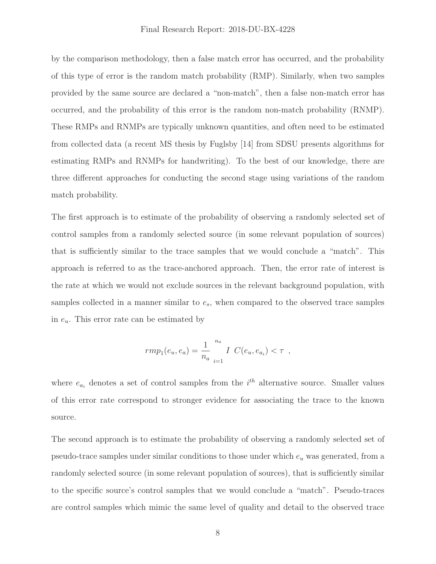by the comparison methodology, then a false match error has occurred, and the probability of this type of error is the random match probability (RMP). Similarly, when two samples provided by the same source are declared a "non-match", then a false non-match error has occurred, and the probability of this error is the random non-match probability (RNMP). These RMPs and RNMPs are typically unknown quantities, and often need to be estimated from collected data (a recent MS thesis by Fuglsby [14] from SDSU presents algorithms for estimating RMPs and RNMPs for handwriting). To the best of our knowledge, there are three different approaches for conducting the second stage using variations of the random match probability.

The first approach is to estimate of the probability of observing a randomly selected set of control samples from a randomly selected source (in some relevant population of sources) that is sufficiently similar to the trace samples that we would conclude a "match". This approach is referred to as the trace-anchored approach. Then, the error rate of interest is the rate at which we would not exclude sources in the relevant background population, with samples collected in a manner similar to  $e_s$ , when compared to the observed trace samples in  $e_u$ . This error rate can be estimated by

$$
rmp_1(e_u, e_a) = \frac{1}{n_a} \bigg|_{i=1}^{n_a} I(C(e_u, e_{a_i}) < \tau \bigg|,
$$

where  $e_{a_i}$  denotes a set of control samples from the  $i^{th}$  alternative source. Smaller values of this error rate correspond to stronger evidence for associating the trace to the known source.

The second approach is to estimate the probability of observing a randomly selected set of pseudo-trace samples under similar conditions to those under which  $e_u$  was generated, from a randomly selected source (in some relevant population of sources), that is sufficiently similar to the specific source's control samples that we would conclude a "match". Pseudo-traces are control samples which mimic the same level of quality and detail to the observed trace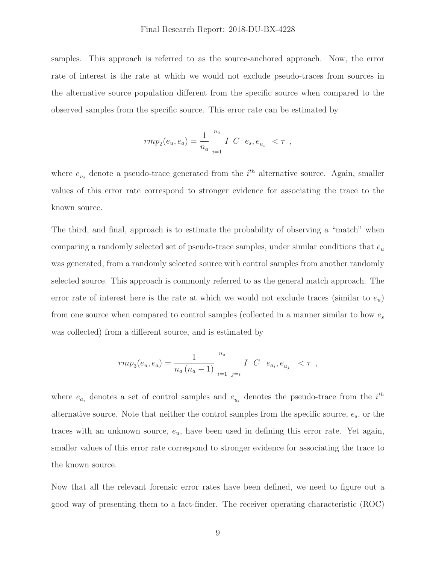samples. This approach is referred to as the source-anchored approach. Now, the error rate of interest is the rate at which we would not exclude pseudo-traces from sources in the alternative source population different from the specific source when compared to the observed samples from the specific source. This error rate can be estimated by

$$
r m p_2(e_u, e_a) = \frac{1}{n_a} \, \frac{n_a}{i=1} \, \, I \, \, C \, \, e_s, e_{u_i} \, \, < \tau \, \, ,
$$

where  $e_{u_i}$  denote a pseudo-trace generated from the  $i^{th}$  alternative source. Again, smaller values of this error rate correspond to stronger evidence for associating the trace to the known source.

The third, and final, approach is to estimate the probability of observing a "match" when comparing a randomly selected set of pseudo-trace samples, under similar conditions that  $e_u$ was generated, from a randomly selected source with control samples from another randomly selected source. This approach is commonly referred to as the general match approach. The error rate of interest here is the rate at which we would not exclude traces (similar to  $e_u$ ) from one source when compared to control samples (collected in a manner similar to how  $e_s$ was collected) from a different source, and is estimated by

$$
rmp_3(e_u, e_a) = \frac{1}{n_a (n_a - 1)} \sum_{i=1}^{n_a} \sum_{j=i}^{n_a} C \ e_{a_i}, e_{u_j} \leq \tau ,
$$

where  $e_{a_i}$  denotes a set of control samples and  $e_{u_i}$  denotes the pseudo-trace from the  $i^{th}$ alternative source. Note that neither the control samples from the specific source,  $e_s$ , or the traces with an unknown source,  $e_u$ , have been used in defining this error rate. Yet again, smaller values of this error rate correspond to stronger evidence for associating the trace to the known source.

Now that all the relevant forensic error rates have been defined, we need to figure out a good way of presenting them to a fact-finder. The receiver operating characteristic (ROC)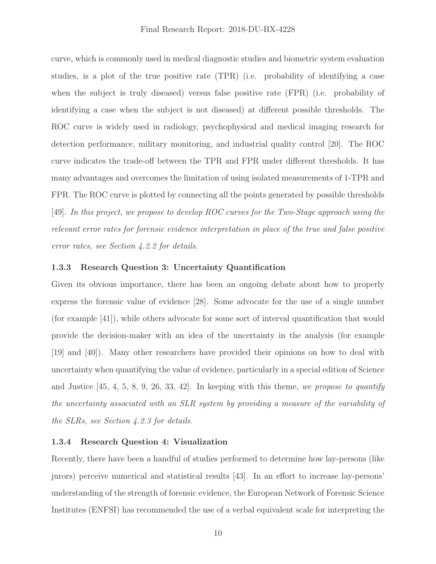<span id="page-11-0"></span>curve, which is commonly used in medical diagnostic studies and biometric system evaluation studies, is a plot of the true positive rate (TPR) (i.e. probability of identifying a case when the subject is truly diseased) versus false positive rate (FPR) (i.e. probability of identifying a case when the subject is not diseased) at different possible thresholds. The ROC curve is widely used in radiology, psychophysical and medical imaging research for detection performance, military monitoring, and industrial quality control [20]. The ROC curve indicates the trade-off between the TPR and FPR under different thresholds. It has many advantages and overcomes the limitation of using isolated measurements of 1-TPR and FPR. The ROC curve is plotted by connecting all the points generated by possible thresholds [49]. In this project, we propose to develop ROC curves for the Two-Stage approach using the relevant error rates for forensic evidence interpretation in place of the true and false positive error rates, see Section 4.2.2 for details.

# **1.3.3 Research Question 3: Uncertainty Quantification**

Given its obvious importance, there has been an ongoing debate about how to properly express the forensic value of evidence [28]. Some advocate for the use of a single number (for example [41]), while others advocate for some sort of interval quantification that would provide the decision-maker with an idea of the uncertainty in the analysis (for example [19] and [40]). Many other researchers have provided their opinions on how to deal with uncertainty when quantifying the value of evidence, particularly in a special edition of Science and Justice  $[45, 4, 5, 8, 9, 26, 33, 42]$ . In keeping with this theme, we propose to quantify the uncertainty associated with an SLR system by providing a measure of the variability of the SLRs, see Section 4.2.3 for details.

# **1.3.4 Research Question 4: Visualization**

Recently, there have been a handful of studies performed to determine how lay-persons (like jurors) perceive numerical and statistical results [43]. In an effort to increase lay-persons' understanding of the strength of forensic evidence, the European Network of Forensic Science Institutes (ENFSI) has recommended the use of a verbal equivalent scale for interpreting the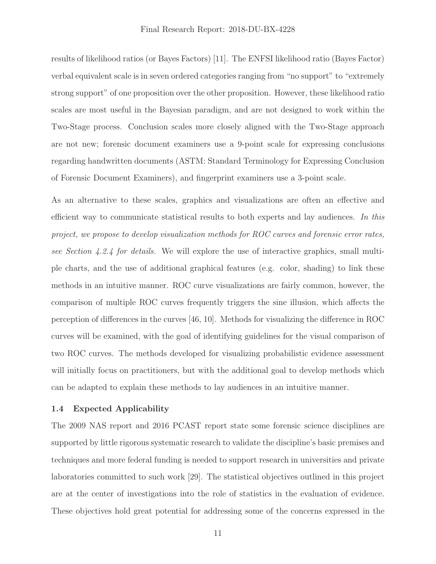<span id="page-12-0"></span>results of likelihood ratios (or Bayes Factors) [11]. The ENFSI likelihood ratio (Bayes Factor) verbal equivalent scale is in seven ordered categories ranging from "no support" to "extremely strong support" of one proposition over the other proposition. However, these likelihood ratio scales are most useful in the Bayesian paradigm, and are not designed to work within the Two-Stage process. Conclusion scales more closely aligned with the Two-Stage approach are not new; forensic document examiners use a 9-point scale for expressing conclusions regarding handwritten documents (ASTM: Standard Terminology for Expressing Conclusion of Forensic Document Examiners), and fingerprint examiners use a 3-point scale.

As an alternative to these scales, graphics and visualizations are often an effective and efficient way to communicate statistical results to both experts and lay audiences. In this project, we propose to develop visualization methods for ROC curves and forensic error rates, see Section 4.2.4 for details. We will explore the use of interactive graphics, small multiple charts, and the use of additional graphical features (e.g. color, shading) to link these methods in an intuitive manner. ROC curve visualizations are fairly common, however, the comparison of multiple ROC curves frequently triggers the sine illusion, which affects the perception of differences in the curves [46, 10]. Methods for visualizing the difference in ROC curves will be examined, with the goal of identifying guidelines for the visual comparison of two ROC curves. The methods developed for visualizing probabilistic evidence assessment will initially focus on practitioners, but with the additional goal to develop methods which can be adapted to explain these methods to lay audiences in an intuitive manner.

#### **1.4 Expected Applicability**

The 2009 NAS report and 2016 PCAST report state some forensic science disciplines are supported by little rigorous systematic research to validate the discipline's basic premises and techniques and more federal funding is needed to support research in universities and private laboratories committed to such work [29]. The statistical objectives outlined in this project are at the center of investigations into the role of statistics in the evaluation of evidence. These objectives hold great potential for addressing some of the concerns expressed in the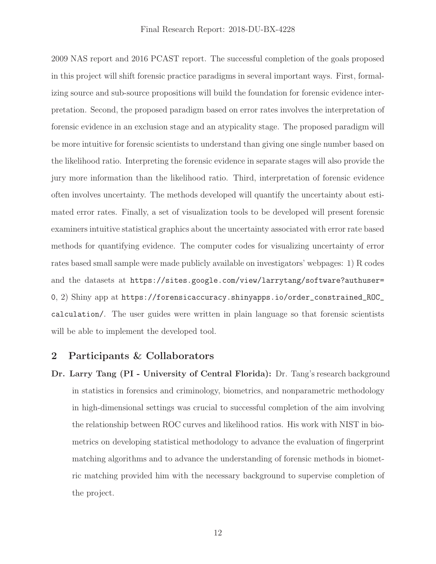<span id="page-13-0"></span>2009 NAS report and 2016 PCAST report. The successful completion of the goals proposed in this project will shift forensic practice paradigms in several important ways. First, formalizing source and sub-source propositions will build the foundation for forensic evidence interpretation. Second, the proposed paradigm based on error rates involves the interpretation of forensic evidence in an exclusion stage and an atypicality stage. The proposed paradigm will be more intuitive for forensic scientists to understand than giving one single number based on the likelihood ratio. Interpreting the forensic evidence in separate stages will also provide the jury more information than the likelihood ratio. Third, interpretation of forensic evidence often involves uncertainty. The methods developed will quantify the uncertainty about estimated error rates. Finally, a set of visualization tools to be developed will present forensic examiners intuitive statistical graphics about the uncertainty associated with error rate based methods for quantifying evidence. The computer codes for visualizing uncertainty of error rates based small sample were made publicly available on investigators' webpages: 1) R codes and the datasets at [https://sites.google.com/view/larrytang/software?authuser=](https://sites.google.com/view/larrytang/software?authuser) 0, 2) Shiny app at [https://forensicaccuracy.shinyapps.io/order\\_constrained\\_ROC\\_](https://forensicaccuracy.shinyapps.io/order_constrained_ROC) calculation/. The user guides were written in plain language so that forensic scientists will be able to implement the developed tool.

#### **2 Participants & Collaborators**

**Dr. Larry Tang (PI - University of Central Florida):** Dr. Tang's research background in statistics in forensics and criminology, biometrics, and nonparametric methodology in high-dimensional settings was crucial to successful completion of the aim involving the relationship between ROC curves and likelihood ratios. His work with NIST in biometrics on developing statistical methodology to advance the evaluation of fingerprint matching algorithms and to advance the understanding of forensic methods in biometric matching provided him with the necessary background to supervise completion of the project.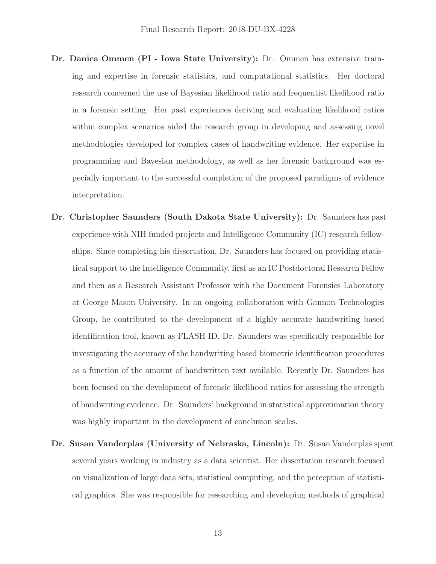- **Dr. Danica Ommen (PI Iowa State University):** Dr. Ommen has extensive training and expertise in forensic statistics, and computational statistics. Her doctoral research concerned the use of Bayesian likelihood ratio and frequentist likelihood ratio in a forensic setting. Her past experiences deriving and evaluating likelihood ratios within complex scenarios aided the research group in developing and assessing novel methodologies developed for complex cases of handwriting evidence. Her expertise in programming and Bayesian methodology, as well as her forensic background was especially important to the successful completion of the proposed paradigms of evidence interpretation.
- **Dr. Christopher Saunders (South Dakota State University):** Dr. Saunders has past experience with NIH funded projects and Intelligence Community (IC) research fellowships. Since completing his dissertation, Dr. Saunders has focused on providing statistical support to the Intelligence Community, first as an IC Postdoctoral Research Fellow and then as a Research Assistant Professor with the Document Forensics Laboratory at George Mason University. In an ongoing collaboration with Gannon Technologies Group, he contributed to the development of a highly accurate handwriting based identification tool, known as FLASH ID. Dr. Saunders was specifically responsible for investigating the accuracy of the handwriting based biometric identification procedures as a function of the amount of handwritten text available. Recently Dr. Saunders has been focused on the development of forensic likelihood ratios for assessing the strength of handwriting evidence. Dr. Saunders' background in statistical approximation theory was highly important in the development of conclusion scales.
- **Dr. Susan Vanderplas (University of Nebraska, Lincoln):** Dr. Susan Vanderplas spent several years working in industry as a data scientist. Her dissertation research focused on visualization of large data sets, statistical computing, and the perception of statistical graphics. She was responsible for researching and developing methods of graphical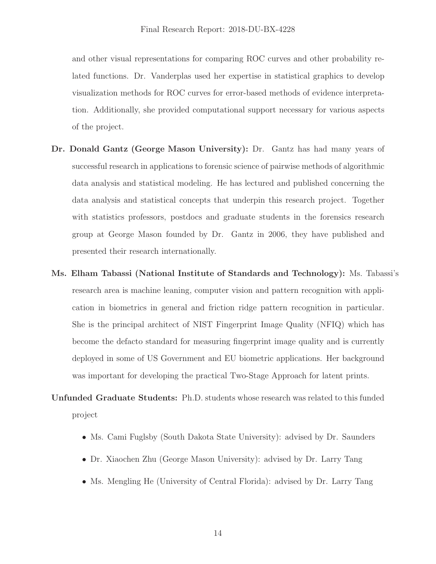and other visual representations for comparing ROC curves and other probability related functions. Dr. Vanderplas used her expertise in statistical graphics to develop visualization methods for ROC curves for error-based methods of evidence interpretation. Additionally, she provided computational support necessary for various aspects of the project.

- **Dr. Donald Gantz (George Mason University):** Dr. Gantz has had many years of successful research in applications to forensic science of pairwise methods of algorithmic data analysis and statistical modeling. He has lectured and published concerning the data analysis and statistical concepts that underpin this research project. Together with statistics professors, postdocs and graduate students in the forensics research group at George Mason founded by Dr. Gantz in 2006, they have published and presented their research internationally.
- **Ms. Elham Tabassi (National Institute of Standards and Technology):** Ms. Tabassi's research area is machine leaning, computer vision and pattern recognition with application in biometrics in general and friction ridge pattern recognition in particular. She is the principal architect of NIST Fingerprint Image Quality (NFIQ) which has become the defacto standard for measuring fingerprint image quality and is currently deployed in some of US Government and EU biometric applications. Her background was important for developing the practical Two-Stage Approach for latent prints.

**Unfunded Graduate Students:** Ph.D. students whose research was related to this funded project

- Ms. Cami Fuglsby (South Dakota State University): advised by Dr. Saunders
- Dr. Xiaochen Zhu (George Mason University): advised by Dr. Larry Tang
- Ms. Mengling He (University of Central Florida): advised by Dr. Larry Tang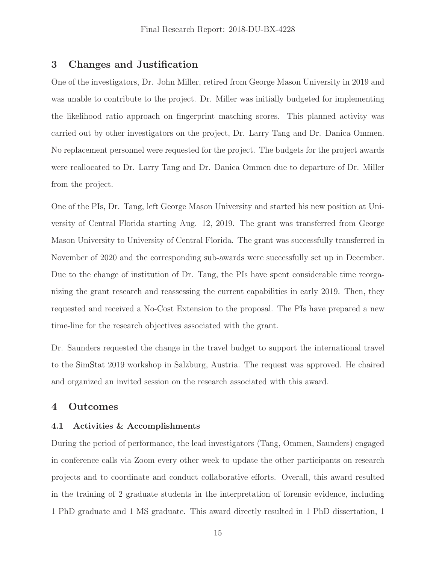# <span id="page-16-0"></span>**3 Changes and Justification**

One of the investigators, Dr. John Miller, retired from George Mason University in 2019 and was unable to contribute to the project. Dr. Miller was initially budgeted for implementing the likelihood ratio approach on fingerprint matching scores. This planned activity was carried out by other investigators on the project, Dr. Larry Tang and Dr. Danica Ommen. No replacement personnel were requested for the project. The budgets for the project awards were reallocated to Dr. Larry Tang and Dr. Danica Ommen due to departure of Dr. Miller from the project.

One of the PIs, Dr. Tang, left George Mason University and started his new position at University of Central Florida starting Aug. 12, 2019. The grant was transferred from George Mason University to University of Central Florida. The grant was successfully transferred in November of 2020 and the corresponding sub-awards were successfully set up in December. Due to the change of institution of Dr. Tang, the PIs have spent considerable time reorganizing the grant research and reassessing the current capabilities in early 2019. Then, they requested and received a No-Cost Extension to the proposal. The PIs have prepared a new time-line for the research objectives associated with the grant.

Dr. Saunders requested the change in the travel budget to support the international travel to the SimStat 2019 workshop in Salzburg, Austria. The request was approved. He chaired and organized an invited session on the research associated with this award.

# **4 Outcomes**

#### **4.1 Activities & Accomplishments**

During the period of performance, the lead investigators (Tang, Ommen, Saunders) engaged in conference calls via Zoom every other week to update the other participants on research projects and to coordinate and conduct collaborative efforts. Overall, this award resulted in the training of 2 graduate students in the interpretation of forensic evidence, including 1 PhD graduate and 1 MS graduate. This award directly resulted in 1 PhD dissertation, 1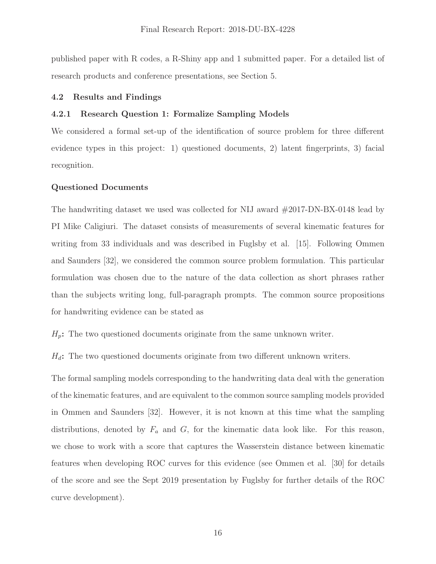<span id="page-17-0"></span>published paper with R codes, a R-Shiny app and 1 submitted paper. For a detailed list of research products and conference presentations, see Section 5.

#### **4.2 Results and Findings**

#### **4.2.1 Research Question 1: Formalize Sampling Models**

We considered a formal set-up of the identification of source problem for three different evidence types in this project: 1) questioned documents, 2) latent fingerprints, 3) facial recognition.

#### **Questioned Documents**

The handwriting dataset we used was collected for NIJ award #2017-DN-BX-0148 lead by PI Mike Caligiuri. The dataset consists of measurements of several kinematic features for writing from 33 individuals and was described in Fuglsby et al. [15]. Following Ommen and Saunders [32], we considered the common source problem formulation. This particular formulation was chosen due to the nature of the data collection as short phrases rather than the subjects writing long, full-paragraph prompts. The common source propositions for handwriting evidence can be stated as

 $H_p$ : The two questioned documents originate from the same unknown writer.

 $H_d$ : The two questioned documents originate from two different unknown writers.

The formal sampling models corresponding to the handwriting data deal with the generation of the kinematic features, and are equivalent to the common source sampling models provided in Ommen and Saunders [32]. However, it is not known at this time what the sampling distributions, denoted by  $F_a$  and  $G$ , for the kinematic data look like. For this reason, we chose to work with a score that captures the Wasserstein distance between kinematic features when developing ROC curves for this evidence (see Ommen et al. [30] for details of the score and see the Sept 2019 presentation by Fuglsby for further details of the ROC curve development).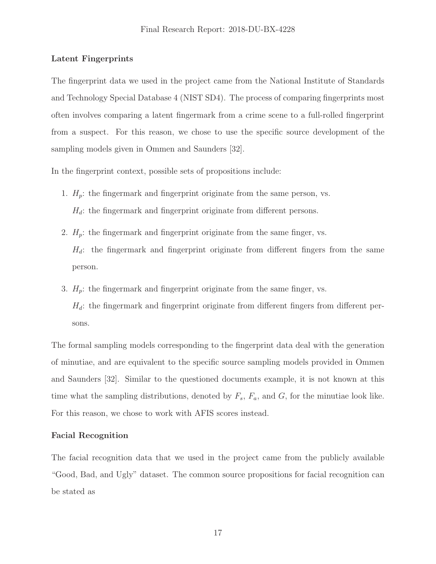# **Latent Fingerprints**

The fingerprint data we used in the project came from the National Institute of Standards and Technology Special Database 4 (NIST SD4). The process of comparing fingerprints most often involves comparing a latent fingermark from a crime scene to a full-rolled fingerprint from a suspect. For this reason, we chose to use the specific source development of the sampling models given in Ommen and Saunders [32].

In the fingerprint context, possible sets of propositions include:

- 1.  $H_p$ : the fingermark and fingerprint originate from the same person, vs.  $H_d$ : the fingermark and fingerprint originate from different persons.
- 2.  $H_p$ : the fingermark and fingerprint originate from the same finger, vs.  $H_d$ : the fingermark and fingerprint originate from different fingers from the same person.
- 3.  $H_p$ : the fingermark and fingerprint originate from the same finger, vs.  $H_d$ : the fingermark and fingerprint originate from different fingers from different persons.

The formal sampling models corresponding to the fingerprint data deal with the generation of minutiae, and are equivalent to the specific source sampling models provided in Ommen and Saunders [32]. Similar to the questioned documents example, it is not known at this time what the sampling distributions, denoted by  $F_s$ ,  $F_a$ , and  $G$ , for the minutiae look like. For this reason, we chose to work with AFIS scores instead.

# **Facial Recognition**

The facial recognition data that we used in the project came from the publicly available "Good, Bad, and Ugly" dataset. The common source propositions for facial recognition can be stated as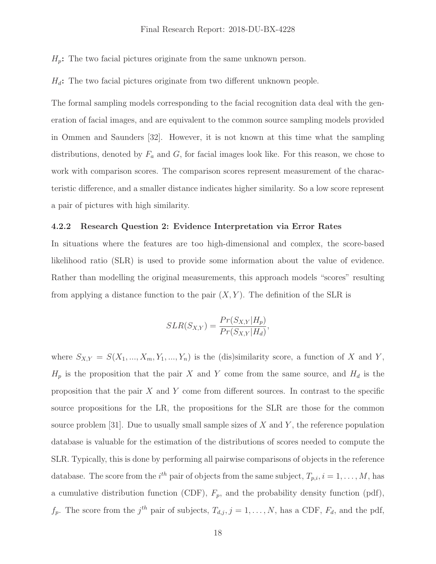#### Final Research Report: 2018-DU-BX-4228

<span id="page-19-0"></span> $H_p$ : The two facial pictures originate from the same unknown person.

 $H_d$ : The two facial pictures originate from two different unknown people.

The formal sampling models corresponding to the facial recognition data deal with the generation of facial images, and are equivalent to the common source sampling models provided in Ommen and Saunders [32]. However, it is not known at this time what the sampling distributions, denoted by  $F_a$  and  $G$ , for facial images look like. For this reason, we chose to work with comparison scores. The comparison scores represent measurement of the characteristic difference, and a smaller distance indicates higher similarity. So a low score represent a pair of pictures with high similarity.

#### **4.2.2 Research Question 2: Evidence Interpretation via Error Rates**

In situations where the features are too high-dimensional and complex, the score-based likelihood ratio (SLR) is used to provide some information about the value of evidence. Rather than modelling the original measurements, this approach models "scores" resulting from applying a distance function to the pair  $(X, Y)$ . The definition of the SLR is

$$
SLR(S_{X,Y}) = \frac{Pr(S_{X,Y}|H_p)}{Pr(S_{X,Y}|H_d)},
$$

where  $S_{X,Y} = S(X_1, ..., X_m, Y_1, ..., Y_n)$  is the (dis)similarity score, a function of X and Y,  $H_p$  is the proposition that the pair X and Y come from the same source, and  $H_d$  is the proposition that the pair  $X$  and  $Y$  come from different sources. In contrast to the specific source propositions for the LR, the propositions for the SLR are those for the common source problem [31]. Due to usually small sample sizes of  $X$  and  $Y$ , the reference population database is valuable for the estimation of the distributions of scores needed to compute the SLR. Typically, this is done by performing all pairwise comparisons of objects in the reference database. The score from the *i*<sup>th</sup> pair of objects from the same subject,  $T_{p,i}$ ,  $i = 1, \ldots, M$ , has a cumulative distribution function (CDF),  $F_p$ , and the probability density function (pdf),  $f_p$ . The score from the  $j^{th}$  pair of subjects,  $T_{d,j}$ ,  $j = 1, \ldots, N$ , has a CDF,  $F_d$ , and the pdf,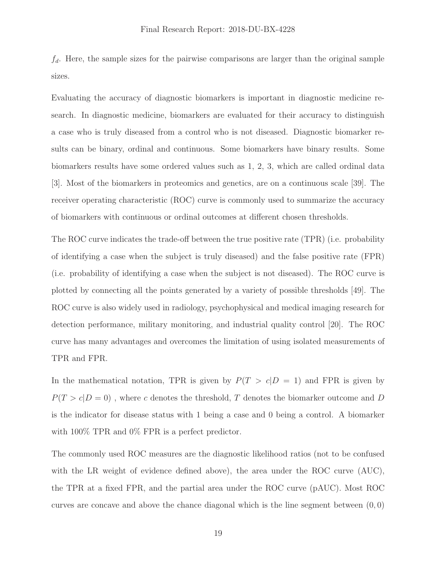$f_d$ . Here, the sample sizes for the pairwise comparisons are larger than the original sample sizes.

Evaluating the accuracy of diagnostic biomarkers is important in diagnostic medicine research. In diagnostic medicine, biomarkers are evaluated for their accuracy to distinguish a case who is truly diseased from a control who is not diseased. Diagnostic biomarker results can be binary, ordinal and continuous. Some biomarkers have binary results. Some biomarkers results have some ordered values such as 1, 2, 3, which are called ordinal data [3]. Most of the biomarkers in proteomics and genetics, are on a continuous scale [39]. The receiver operating characteristic (ROC) curve is commonly used to summarize the accuracy of biomarkers with continuous or ordinal outcomes at different chosen thresholds.

The ROC curve indicates the trade-off between the true positive rate (TPR) (i.e. probability of identifying a case when the subject is truly diseased) and the false positive rate (FPR) (i.e. probability of identifying a case when the subject is not diseased). The ROC curve is plotted by connecting all the points generated by a variety of possible thresholds [49]. The ROC curve is also widely used in radiology, psychophysical and medical imaging research for detection performance, military monitoring, and industrial quality control [20]. The ROC curve has many advantages and overcomes the limitation of using isolated measurements of TPR and FPR.

In the mathematical notation, TPR is given by  $P(T > c|D = 1)$  and FPR is given by  $P(T > c | D = 0)$  , where  $c$  denotes the threshold,  $T$  denotes the biomarker outcome and  $D$ is the indicator for disease status with 1 being a case and 0 being a control. A biomarker with  $100\%$  TPR and  $0\%$  FPR is a perfect predictor.

The commonly used ROC measures are the diagnostic likelihood ratios (not to be confused with the LR weight of evidence defined above), the area under the ROC curve (AUC), the TPR at a fixed FPR, and the partial area under the ROC curve (pAUC). Most ROC curves are concave and above the chance diagonal which is the line segment between  $(0, 0)$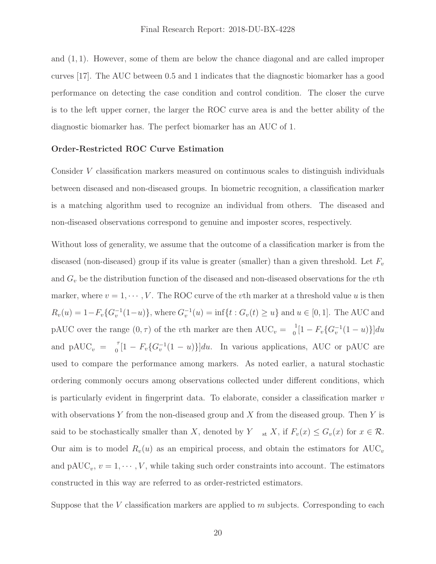and  $(1, 1)$ . However, some of them are below the chance diagonal and are called improper curves [17]. The AUC between 0.5 and 1 indicates that the diagnostic biomarker has a good performance on detecting the case condition and control condition. The closer the curve is to the left upper corner, the larger the ROC curve area is and the better ability of the diagnostic biomarker has. The perfect biomarker has an AUC of 1.

#### **Order-Restricted ROC Curve Estimation**

Consider V classification markers measured on continuous scales to distinguish individuals between diseased and non-diseased groups. In biometric recognition, a classification marker is a matching algorithm used to recognize an individual from others. The diseased and non-diseased observations correspond to genuine and imposter scores, respectively.

pAUC over the range  $(0, \tau)$  of the vth marker are then  $\text{AUC}_v = \begin{bmatrix} 1 \\ 0 \end{bmatrix}$  $\begin{bmatrix} 1 - F_v \{G_v^{-1}(1-u)\}\end{bmatrix}$ and pAUC<sub>v</sub> =  $\sigma$ <sup>T</sup> $[1 - F_v \{G_v^{-1}(1-u)\}]du$ . In various applications, AUC or pAUC are said to be stochastically smaller than X, denoted by  $Y_{st}$  X, if  $F_v(x) \leq G_v(x)$  for  $x \in \mathcal{R}$ . Without loss of generality, we assume that the outcome of a classification marker is from the diseased (non-diseased) group if its value is greater (smaller) than a given threshold. Let  $F_v$ and  $G_v$  be the distribution function of the diseased and non-diseased observations for the vth marker, where  $v = 1, \dots, V$ . The ROC curve of the vth marker at a threshold value u is then  $R_v(u) = 1 - F_v\{G_v^{-1}(1-u)\}\text{, where } G_v^{-1}(u) = \inf\{t : G_v(t) \geq u\} \text{ and } u \in [0,1].$  The AUC and used to compare the performance among markers. As noted earlier, a natural stochastic ordering commonly occurs among observations collected under different conditions, which is particularly evident in fingerprint data. To elaborate, consider a classification marker  $v$ with observations Y from the non-diseased group and X from the diseased group. Then Y is Our aim is to model  $R_v(u)$  as an empirical process, and obtain the estimators for  $AUC_v$ and  $\text{pAUC}_v, v = 1, \cdots, V$ , while taking such order constraints into account. The estimators constructed in this way are referred to as order-restricted estimators.

Suppose that the V classification markers are applied to  $m$  subjects. Corresponding to each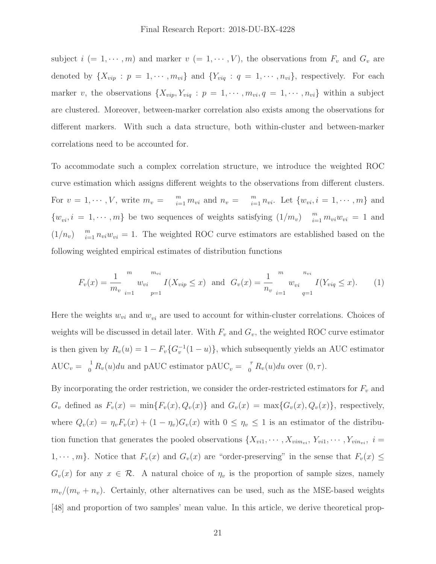subject  $i (= 1, \dots, m)$  and marker  $v (= 1, \dots, V)$ , the observations from  $F_v$  and  $G_v$  are denoted by  $\{X_{vip} : p = 1, \dots, m_{vi}\}\$  and  $\{Y_{viq} : q = 1, \dots, n_{vi}\}\$ , respectively. For each marker v, the observations  $\{X_{vip}, Y_{viq} : p = 1, \cdots, m_{vi}, q = 1, \cdots, n_{vi}\}\$  within a subject are clustered. Moreover, between-marker correlation also exists among the observations for different markers. With such a data structure, both within-cluster and between-marker correlations need to be accounted for.

For  $v = 1, \dots, V$ , write  $m_v = \sum_{i=1}^m m_{vi}$  and  $n_v = \sum_{i=1}^m n_{vi}$ . Let  $\{w_{vi}, i = 1, \dots, m\}$  and  $\{w_{vi}, i = 1, \cdots, m\}$  be two sequences of weights satisfying  $(1/m_v)$   $\sum_{i=1}^{m} m_{vi}w_{vi} = 1$  and  $(1/n_v)$   $\frac{m}{i=1} n_{vi} w_{vi} = 1$ . The weighted ROC curve estimators are established based on the To accommodate such a complex correlation structure, we introduce the weighted ROC curve estimation which assigns different weights to the observations from different clusters. following weighted empirical estimates of distribution functions

$$
F_v(x) = \frac{1}{m_v} \int_{i=1}^{m_v} w_{vi} \frac{m_{vi}}{p=1} I(X_{vip} \le x) \text{ and } G_v(x) = \frac{1}{n_v} \int_{i=1}^{m_v} w_{vi} \frac{n_{vi}}{q=1} I(Y_{viq} \le x). \tag{1}
$$

Here the weights  $w_{vi}$  and  $w_{vi}$  are used to account for within-cluster correlations. Choices of weights will be discussed in detail later. With  $F_v$  and  $G_v$ , the weighted ROC curve estimator is then given by  $R_v(u)=1 - F_v\{G_v^{-1}(1-u)\}\,$ , which subsequently yields an AUC estimator  $AUC_v = \frac{1}{0} R_v(u) du$  and pAUC estimator pAUC<sub>v</sub> =  $\frac{\tau}{0} R_v(u) du$  over  $(0, \tau)$ .

 $G_v$  defined as  $F_v(x) = \min\{F_v(x), Q_v(x)\}\$  and  $G_v(x) = \max\{G_v(x), Q_v(x)\}\$ , respectively, where  $Q_v(x) = \eta_v F_v(x) + (1 - \eta_v)G_v(x)$  with  $0 \leq \eta_v \leq 1$  is an estimator of the distribu- $1, \dots, m$ . Notice that  $F_v(x)$  and  $G_v(x)$  are "order-preserving" in the sense that  $F_v(x) \leq$  $G_v(x)$  for any  $x \in \mathcal{R}$ . A natural choice of  $\eta_v$  is the proportion of sample sizes, namely By incorporating the order restriction, we consider the order-restricted estimators for  $F_v$  and tion function that generates the pooled observations  $\{X_{vi1}, \dots, X_{vim_{vi}}, Y_{vi1}, \dots, Y_{vin_{vi}}, i =$  $m_v/(m_v + n_v)$ . Certainly, other alternatives can be used, such as the MSE-based weights [48] and proportion of two samples' mean value. In this article, we derive theoretical prop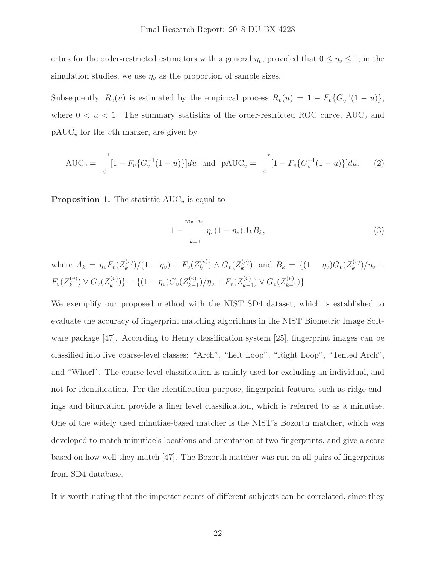erties for the order-restricted estimators with a general  $\eta_v$ , provided that  $0 \leq \eta_v \leq 1$ ; in the simulation studies, we use  $\eta_v$  as the proportion of sample sizes.

Subsequently,  $R_v(u)$  is estimated by the empirical process  $R_v(u)=1 - F_v\{G_v^{-1}(1-u)\},$ where  $0 < u < 1$ . The summary statistics of the order-restricted ROC curve, AUC<sub>v</sub> and  $pAUC_v$  for the vth marker, are given by

$$
AUC_v = \int_0^1 [1 - F_v\{G_v^{-1}(1-u)\}] du \text{ and } pAUC_v = \int_0^{\tau} [1 - F_v\{G_v^{-1}(1-u)\}] du. \tag{2}
$$

**Proposition 1.** The statistic  $AUC_v$  is equal to

$$
1 - \frac{m_v + n_v}{n_v(1 - \eta_v)A_kB_k},
$$
\n(3)

where  $A_k = \eta_v F_v(Z_k^{(v)})/(1 - \eta_v) + F_v(Z_k^{(v)}) \wedge G_v(Z_k^{(v)})$ , and  $B_k = \{(1 - \eta_v)G_v(Z_k^{(v)})/\eta_v +$  $F_v(Z_k^{(v)}) \vee G_v(Z_k^{(v)}) - \{(1 - \eta_v)G_v(Z_{k-1}^{(v)})/\eta_v + F_v(Z_{k-1}^{(v)}) \vee G_v(Z_{k-1}^{(v)})\}.$ 

We exemplify our proposed method with the NIST SD4 dataset, which is established to evaluate the accuracy of fingerprint matching algorithms in the NIST Biometric Image Software package [47]. According to Henry classification system [25], fingerprint images can be classified into five coarse-level classes: "Arch", "Left Loop", "Right Loop", "Tented Arch", and "Whorl". The coarse-level classification is mainly used for excluding an individual, and not for identification. For the identification purpose, fingerprint features such as ridge endings and bifurcation provide a finer level classification, which is referred to as a minutiae. One of the widely used minutiae-based matcher is the NIST's Bozorth matcher, which was developed to match minutiae's locations and orientation of two fingerprints, and give a score based on how well they match [47]. The Bozorth matcher was run on all pairs of fingerprints from SD4 database.

It is worth noting that the imposter scores of different subjects can be correlated, since they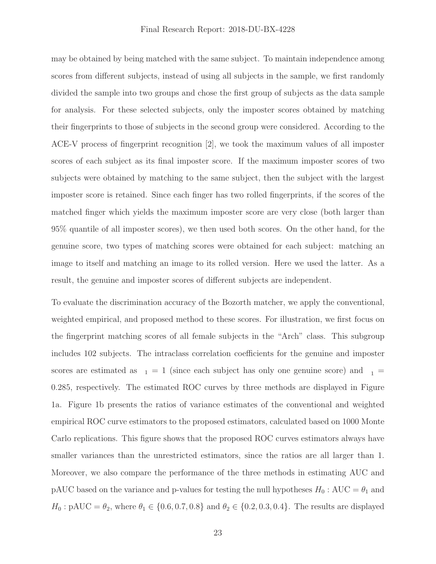may be obtained by being matched with the same subject. To maintain independence among scores from different subjects, instead of using all subjects in the sample, we first randomly divided the sample into two groups and chose the first group of subjects as the data sample for analysis. For these selected subjects, only the imposter scores obtained by matching their fingerprints to those of subjects in the second group were considered. According to the ACE-V process of fingerprint recognition [2], we took the maximum values of all imposter scores of each subject as its final imposter score. If the maximum imposter scores of two subjects were obtained by matching to the same subject, then the subject with the largest imposter score is retained. Since each finger has two rolled fingerprints, if the scores of the matched finger which yields the maximum imposter score are very close (both larger than 95% quantile of all imposter scores), we then used both scores. On the other hand, for the genuine score, two types of matching scores were obtained for each subject: matching an image to itself and matching an image to its rolled version. Here we used the latter. As a result, the genuine and imposter scores of different subjects are independent.

scores are estimated as  $_1 = 1$  (since each subject has only one genuine score) and  $_1 =$ To evaluate the discrimination accuracy of the Bozorth matcher, we apply the conventional, weighted empirical, and proposed method to these scores. For illustration, we first focus on the fingerprint matching scores of all female subjects in the "Arch" class. This subgroup includes 102 subjects. The intraclass correlation coefficients for the genuine and imposter 0.285, respectively. The estimated ROC curves by three methods are displayed in Figure 1a. Figure 1b presents the ratios of variance estimates of the conventional and weighted empirical ROC curve estimators to the proposed estimators, calculated based on 1000 Monte Carlo replications. This figure shows that the proposed ROC curves estimators always have smaller variances than the unrestricted estimators, since the ratios are all larger than 1. Moreover, we also compare the performance of the three methods in estimating AUC and pAUC based on the variance and p-values for testing the null hypotheses  $H_0$ : AUC =  $\theta_1$  and  $H_0: \text{pAUC} = \theta_2$ , where  $\theta_1 \in \{0.6, 0.7, 0.8\}$  and  $\theta_2 \in \{0.2, 0.3, 0.4\}$ . The results are displayed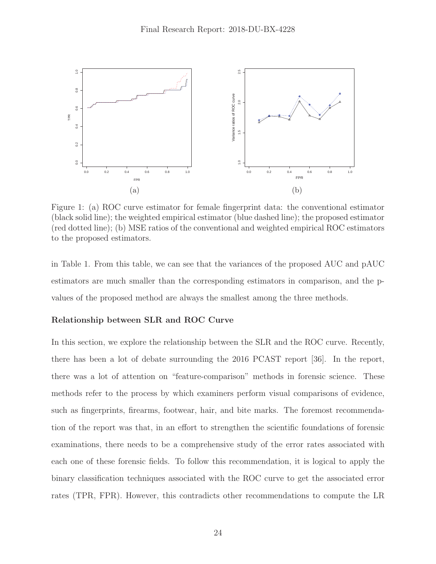

Figure 1: (a) ROC curve estimator for female fingerprint data: the conventional estimator (black solid line); the weighted empirical estimator (blue dashed line); the proposed estimator (red dotted line); (b) MSE ratios of the conventional and weighted empirical ROC estimators to the proposed estimators.

in Table 1. From this table, we can see that the variances of the proposed AUC and pAUC estimators are much smaller than the corresponding estimators in comparison, and the pvalues of the proposed method are always the smallest among the three methods.

#### **Relationship between SLR and ROC Curve**

In this section, we explore the relationship between the SLR and the ROC curve. Recently, there has been a lot of debate surrounding the 2016 PCAST report [36]. In the report, there was a lot of attention on "feature-comparison" methods in forensic science. These methods refer to the process by which examiners perform visual comparisons of evidence, such as fingerprints, firearms, footwear, hair, and bite marks. The foremost recommendation of the report was that, in an effort to strengthen the scientific foundations of forensic examinations, there needs to be a comprehensive study of the error rates associated with each one of these forensic fields. To follow this recommendation, it is logical to apply the binary classification techniques associated with the ROC curve to get the associated error rates (TPR, FPR). However, this contradicts other recommendations to compute the LR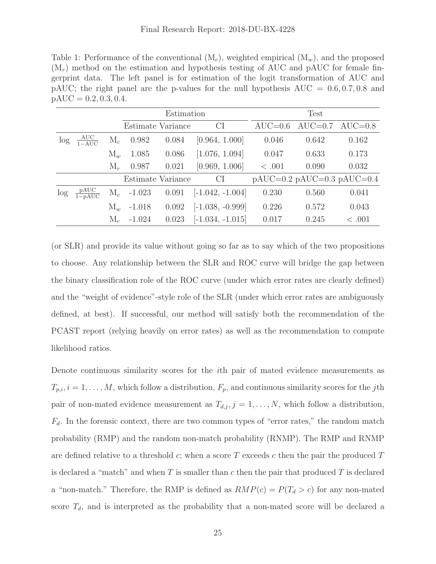Table 1: Performance of the conventional  $(M_c)$ , weighted empirical  $(M_w)$ , and the proposed  $(M_r)$  method on the estimation and hypothesis testing of AUC and pAUC for female fingerprint data. The left panel is for estimation of the logit transformation of AUC and pAUC; the right panel are the p-values for the null hypothesis  $AUC = 0.6, 0.7, 0.8$  and  $pAUC = 0.2, 0.3, 0.4.$ 

|        |                                   |                | Estimation        |       |                    | Test             |           |                              |
|--------|-----------------------------------|----------------|-------------------|-------|--------------------|------------------|-----------|------------------------------|
|        |                                   |                | Estimate Variance |       | CI                 | $\text{AUC}=0.6$ | $AUC=0.7$ | $AUC=0.8$                    |
| $\log$ | $\frac{\text{AUC}}{1-\text{AUC}}$ | $M_c$          | 0.982             | 0.084 | [0.964, 1.000]     | 0.046            | 0.642     | 0.162                        |
|        |                                   | $M_{w}$        | 1.085             | 0.086 | [1.076, 1.094]     | 0.047            | 0.633     | 0.173                        |
|        |                                   | $M_r$          | 0.987             | 0.021 | [0.969, 1.006]     | <.001            | 0.090     | 0.032                        |
|        |                                   |                | Estimate Variance |       | <b>CI</b>          |                  |           | $pAUC=0.2 pAUC=0.3 pAUC=0.4$ |
| $\log$ | pAUC<br>$\frac{1}{1 - pAUC}$      | $\mathrm{M}_c$ | $-1.023$          | 0.091 | $[-1.042, -1.004]$ | 0.230            | 0.560     | 0.041                        |
|        |                                   | $M_w$          | $-1.018$          | 0.092 | $[-1.038, -0.999]$ | 0.226            | 0.572     | 0.043                        |
|        |                                   | $M_r$          | $-1.024$          | 0.023 | $[-1.034, -1.015]$ | 0.017            | 0.245     | $\leq .001$                  |

(or SLR) and provide its value without going so far as to say which of the two propositions to choose. Any relationship between the SLR and ROC curve will bridge the gap between the binary classification role of the ROC curve (under which error rates are clearly defined) and the "weight of evidence"-style role of the SLR (under which error rates are ambiguously defined, at best). If successful, our method will satisfy both the recommendation of the PCAST report (relying heavily on error rates) as well as the recommendation to compute likelihood ratios.

Denote continuous similarity scores for the ith pair of mated evidence measurements as  $T_{p,i}$ ,  $i = 1, \ldots, M$ , which follow a distribution,  $F_p$ , and continuous similarity scores for the jth pair of non-mated evidence measurement as  $T_{d,j}$ ,  $j = 1, \ldots, N$ , which follow a distribution,  $F_d$ . In the forensic context, there are two common types of "error rates," the random match probability (RMP) and the random non-match probability (RNMP). The RMP and RNMP are defined relative to a threshold c; when a score T exceeds c then the pair the produced  $T$ is declared a "match" and when  $T$  is smaller than  $c$  then the pair that produced  $T$  is declared a "non-match." Therefore, the RMP is defined as  $RMP(c) = P(T_d > c)$  for any non-mated score  $T_d$ , and is interpreted as the probability that a non-mated score will be declared a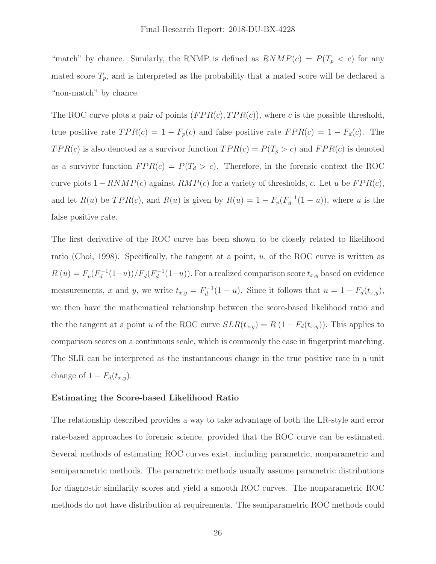"match" by chance. Similarly, the RNMP is defined as  $RNMP(c) = P(T_p < c)$  for any mated score  $T_p$ , and is interpreted as the probability that a mated score will be declared a "non-match" by chance.

The ROC curve plots a pair of points  $(FPR(c), TPR(c))$ , where c is the possible threshold, true positive rate  $TPR(c)=1 - F_p(c)$  and false positive rate  $FPR(c)=1 - F_d(c)$ . The  $TPR(c)$  is also denoted as a survivor function  $TPR(c) = P(T_p > c)$  and  $FPR(c)$  is denoted as a survivor function  $FPR(c) = P(T_d > c)$ . Therefore, in the forensic context the ROC curve plots  $1 - RNMP(c)$  against  $RMP(c)$  for a variety of thresholds, c. Let u be  $FPR(c)$ , and let  $R(u)$  be  $TPR(c)$ , and  $R(u)$  is given by  $R(u) = 1 - F_p(F_d^{-1}(1-u))$ , where u is the false positive rate.

 $R(u) = F_p(F_d^{-1}(1-u))/F_d(F_d^{-1}(1-u))$ . For a realized comparison score  $t_{x,y}$  based on evidence the the tangent at a point u of the ROC curve  $SLR(t_{x,y}) = R(1 - F_d(t_{x,y}))$ . This applies to The first derivative of the ROC curve has been shown to be closely related to likelihood ratio (Choi, 1998). Specifically, the tangent at a point,  $u$ , of the ROC curve is written as measurements, x and y, we write  $t_{x,y} = F_d^{-1}(1 - u)$ . Since it follows that  $u = 1 - F_d(t_{x,y})$ , we then have the mathematical relationship between the score-based likelihood ratio and comparison scores on a continuous scale, which is commonly the case in fingerprint matching. The SLR can be interpreted as the instantaneous change in the true positive rate in a unit change of  $1 - F_d(t_{x,y})$ .

#### **Estimating the Score-based Likelihood Ratio**

The relationship described provides a way to take advantage of both the LR-style and error rate-based approaches to forensic science, provided that the ROC curve can be estimated. Several methods of estimating ROC curves exist, including parametric, nonparametric and semiparametric methods. The parametric methods usually assume parametric distributions for diagnostic similarity scores and yield a smooth ROC curves. The nonparametric ROC methods do not have distribution at requirements. The semiparametric ROC methods could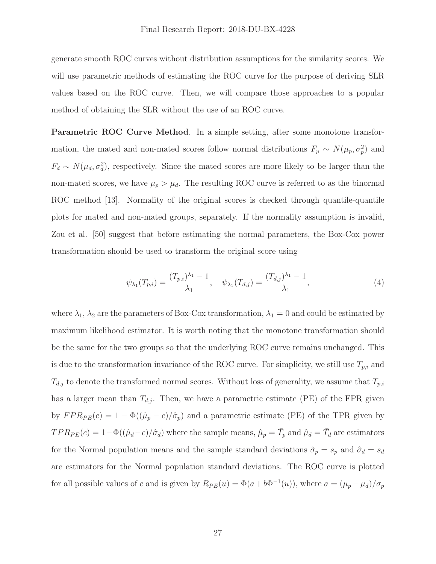generate smooth ROC curves without distribution assumptions for the similarity scores. We will use parametric methods of estimating the ROC curve for the purpose of deriving SLR values based on the ROC curve. Then, we will compare those approaches to a popular method of obtaining the SLR without the use of an ROC curve.

**Parametric ROC Curve Method**. In a simple setting, after some monotone transformation, the mated and non-mated scores follow normal distributions  $F_p \sim N(\mu_p, \sigma_p^2)$  and  $F_d \sim N(\mu_d, \sigma_d^2)$ , respectively. Since the mated scores are more likely to be larger than the non-mated scores, we have  $\mu_p > \mu_d$ . The resulting ROC curve is referred to as the binormal ROC method [13]. Normality of the original scores is checked through quantile-quantile plots for mated and non-mated groups, separately. If the normality assumption is invalid, Zou et al. [50] suggest that before estimating the normal parameters, the Box-Cox power transformation should be used to transform the original score using

$$
\psi_{\lambda_1}(T_{p,i}) = \frac{(T_{p,i})^{\lambda_1} - 1}{\lambda_1}, \quad \psi_{\lambda_1}(T_{d,j}) = \frac{(T_{d,j})^{\lambda_1} - 1}{\lambda_1},\tag{4}
$$

 $\ddot{ }$ by  $FPR_{PE}(c)=1 - \Phi((\hat{\mu}_p - c)/\hat{\sigma}_p)$  and a parametric estimate (PE) of the TPR given by  $TPR_{PE}(c)=1-\Phi((\hat{\mu}_d-c)/\hat{\sigma}_d)$  where the sample means,  $\hat{\mu}_p = \bar{T}_p$  and  $\hat{\mu}_d = \bar{T}_d$  are estimators where  $\lambda_1$ ,  $\lambda_2$  are the parameters of Box-Cox transformation,  $\lambda_1 = 0$  and could be estimated by maximum likelihood estimator. It is worth noting that the monotone transformation should be the same for the two groups so that the underlying ROC curve remains unchanged. This is due to the transformation invariance of the ROC curve. For simplicity, we still use  $T_{p,i}$  and  $T_{d,j}$  to denote the transformed normal scores. Without loss of generality, we assume that  $T_{p,i}$ has a larger mean than  $T_{d,j}$ . Then, we have a parametric estimate (PE) of the FPR given for the Normal population means and the sample standard deviations  $\hat{\sigma}_p = s_p$  and  $\hat{\sigma}_d = s_d$ are estimators for the Normal population standard deviations. The ROC curve is plotted for all possible values of c and is given by  $R_{PE}(u) = \Phi(a + b\Phi^{-1}(u))$ , where  $a = (\mu_p - \mu_d)/\sigma_p$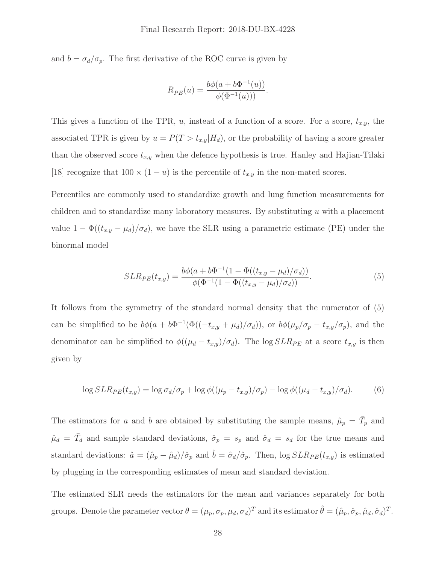#### Final Research Report: 2018-DU-BX-4228

and  $b = \sigma_d/\sigma_p$ . The first derivative of the ROC curve is given by

$$
R_{PE}(u) = \frac{b\phi(a + b\Phi^{-1}(u))}{\phi(\Phi^{-1}(u)))}.
$$

This gives a function of the TPR,  $u$ , instead of a function of a score. For a score,  $t_{x,y}$ , the associated TPR is given by  $u = P(T > t_{x,y}|H_d)$ , or the probability of having a score greater than the observed score  $t_{x,y}$  when the defence hypothesis is true. Hanley and Hajian-Tilaki [18] recognize that  $100 \times (1 - u)$  is the percentile of  $t_{x,y}$  in the non-mated scores.

Percentiles are commonly used to standardize growth and lung function measurements for children and to standardize many laboratory measures. By substituting  $u$  with a placement value  $1 - \Phi((t_{x,y} - \mu_d)/\sigma_d)$ , we have the SLR using a parametric estimate (PE) under the binormal model

$$
SLR_{PE}(t_{x,y}) = \frac{b\phi(a + b\Phi^{-1}(1 - \Phi((t_{x,y} - \mu_d)/\sigma_d))}{\phi(\Phi^{-1}(1 - \Phi((t_{x,y} - \mu_d)/\sigma_d)))}.
$$
\n(5)

It follows from the symmetry of the standard normal density that the numerator of (5) can be simplified to be  $b\phi(a + b\Phi^{-1}(\Phi((-t_{x,y} + \mu_d)/\sigma_d))$ , or  $b\phi(\mu_p/\sigma_p - t_{x,y}/\sigma_p)$ , and the denominator can be simplified to  $\phi((\mu_d - t_{x,y})/\sigma_d)$ . The log  $SLR_{PE}$  at a score  $t_{x,y}$  is then given by

$$
\log SLR_{PE}(t_{x,y}) = \log \sigma_d/\sigma_p + \log \phi((\mu_p - t_{x,y})/\sigma_p) - \log \phi((\mu_d - t_{x,y})/\sigma_d). \tag{6}
$$

standard deviations:  $\hat{a} = (\hat{\mu}_p - \hat{\mu}_d)/\hat{\sigma}_p$  and  $\hat{b} = \hat{\sigma}_d/\hat{\sigma}_p$ . Then,  $\log SLR_{PE}(t_{x,y})$  is estimated The estimators for a and b are obtained by substituting the sample means,  $\hat{\mu}_p = \overline{T}_p$  and  $\hat{\mu}_d = \bar{T}_d$  and sample standard deviations,  $\hat{\sigma}_p = s_p$  and  $\hat{\sigma}_d = s_d$  for the true means and by plugging in the corresponding estimates of mean and standard deviation.

The estimated SLR needs the estimators for the mean and variances separately for both groups. Denote the parameter vector  $\theta = (\mu_p, \sigma_p, \mu_d, \sigma_d)^T$  and its estimator  $\hat{\theta} = (\hat{\mu}_p, \hat{\sigma}_p, \hat{\mu}_d, \hat{\sigma}_d)^T$ .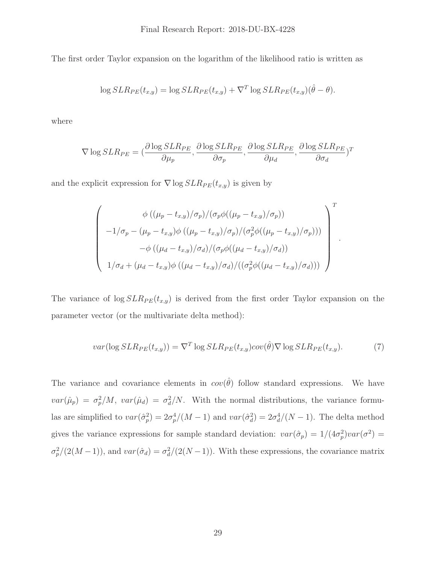The first order Taylor expansion on the logarithm of the likelihood ratio is written as

$$
\log SLR_{PE}(t_{x,y}) = \log SLR_{PE}(t_{x,y}) + \nabla^{T} \log SLR_{PE}(t_{x,y}) (\hat{\theta} - \theta).
$$

where

$$
\nabla \log SLR_{PE} = (\frac{\partial \log SLR_{PE}}{\partial \mu_p}, \frac{\partial \log SLR_{PE}}{\partial \sigma_p}, \frac{\partial \log SLR_{PE}}{\partial \mu_d}, \frac{\partial \log SLR_{PE}}{\partial \sigma_d})^T
$$

and the explicit expression for  $\nabla \log SLR_{PE}(t_{x,y})$  is given by

$$
\begin{pmatrix}\n\phi((\mu_p - t_{x,y})/\sigma_p)/(\sigma_p\phi((\mu_p - t_{x,y})/\sigma_p)) \\
-1/\sigma_p - (\mu_p - t_{x,y})\phi((\mu_p - t_{x,y})/\sigma_p)/(\sigma_p^2\phi((\mu_p - t_{x,y})/\sigma_p))) \\
-\phi((\mu_d - t_{x,y})/\sigma_d)/(\sigma_p\phi((\mu_d - t_{x,y})/\sigma_d)) \\
1/\sigma_d + (\mu_d - t_{x,y})\phi((\mu_d - t_{x,y})/\sigma_d)/((\sigma_p^2\phi((\mu_d - t_{x,y})/\sigma_d)))\n\end{pmatrix}^T.
$$

The variance of  $\log SLR_{PE}(t_{x,y})$  is derived from the first order Taylor expansion on the parameter vector (or the multivariate delta method):

$$
var(\log SLR_{PE}(t_{x,y})) = \nabla^T \log SLR_{PE}(t_{x,y}) cov(\hat{\theta}) \nabla \log SLR_{PE}(t_{x,y}).
$$
\n(7)

The variance and covariance elements in  $cov(\hat{\theta})$  follow standard expressions. We have  $var(\hat{\mu}_p) = \sigma_p^2/M$ ,  $var(\hat{\mu}_d) = \sigma_d^2/N$ . With the normal distributions, the variance formulas are simplified to  $var(\hat{\sigma}_p^2) = 2\sigma_p^4/(M-1)$  and  $var(\hat{\sigma}_q^2) = 2\sigma_d^4/(N-1)$ . The delta method gives the variance expressions for sample standard deviation:  $var(\hat{\sigma}_p) = 1/(4\sigma_p^2)var(\sigma^2) =$  $\sigma_p^2/(2(M-1))$ , and  $var(\hat{\sigma}_d) = \sigma_d^2/(2(N-1))$ . With these expressions, the covariance matrix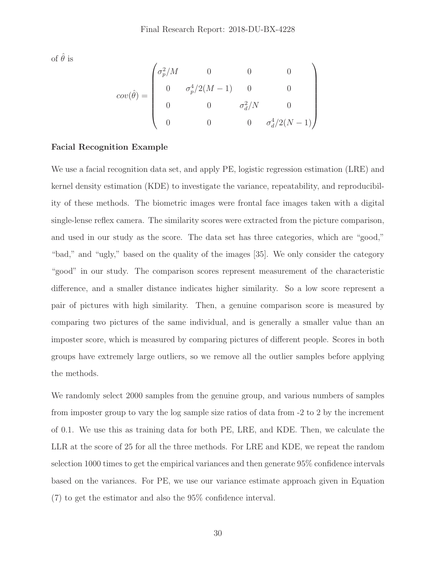of  $\hat{\theta}$  is

$$
cov(\hat{\theta}) = \begin{pmatrix} \sigma_p^2/M & 0 & 0 & 0 \\ 0 & \sigma_p^4/2(M-1) & 0 & 0 \\ 0 & 0 & \sigma_d^2/N & 0 \\ 0 & 0 & 0 & \sigma_d^4/2(N-1) \end{pmatrix}
$$

# **Facial Recognition Example**

We use a facial recognition data set, and apply PE, logistic regression estimation (LRE) and kernel density estimation (KDE) to investigate the variance, repeatability, and reproducibility of these methods. The biometric images were frontal face images taken with a digital single-lense reflex camera. The similarity scores were extracted from the picture comparison, and used in our study as the score. The data set has three categories, which are "good," "bad," and "ugly," based on the quality of the images [35]. We only consider the category "good" in our study. The comparison scores represent measurement of the characteristic difference, and a smaller distance indicates higher similarity. So a low score represent a pair of pictures with high similarity. Then, a genuine comparison score is measured by comparing two pictures of the same individual, and is generally a smaller value than an imposter score, which is measured by comparing pictures of different people. Scores in both groups have extremely large outliers, so we remove all the outlier samples before applying the methods.

We randomly select 2000 samples from the genuine group, and various numbers of samples from imposter group to vary the log sample size ratios of data from -2 to 2 by the increment of 0.1. We use this as training data for both PE, LRE, and KDE. Then, we calculate the LLR at the score of 25 for all the three methods. For LRE and KDE, we repeat the random selection 1000 times to get the empirical variances and then generate 95% confidence intervals based on the variances. For PE, we use our variance estimate approach given in Equation (7) to get the estimator and also the 95% confidence interval.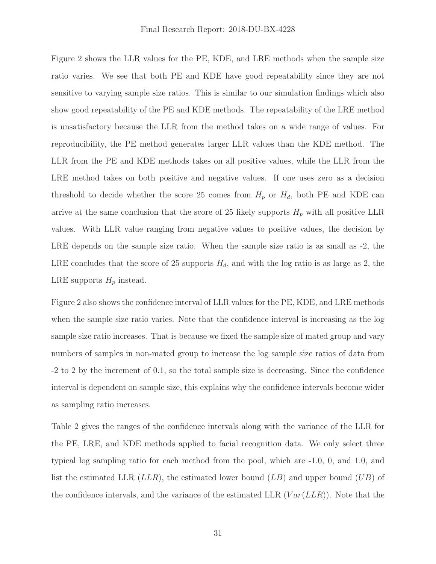Figure 2 shows the LLR values for the PE, KDE, and LRE methods when the sample size ratio varies. We see that both PE and KDE have good repeatability since they are not sensitive to varying sample size ratios. This is similar to our simulation findings which also show good repeatability of the PE and KDE methods. The repeatability of the LRE method is unsatisfactory because the LLR from the method takes on a wide range of values. For reproducibility, the PE method generates larger LLR values than the KDE method. The LLR from the PE and KDE methods takes on all positive values, while the LLR from the LRE method takes on both positive and negative values. If one uses zero as a decision threshold to decide whether the score 25 comes from  $H_p$  or  $H_d$ , both PE and KDE can arrive at the same conclusion that the score of 25 likely supports  $H_p$  with all positive LLR values. With LLR value ranging from negative values to positive values, the decision by LRE depends on the sample size ratio. When the sample size ratio is as small as -2, the LRE concludes that the score of 25 supports  $H_d$ , and with the log ratio is as large as 2, the LRE supports  $H_p$  instead.

Figure 2 also shows the confidence interval of LLR values for the PE, KDE, and LRE methods when the sample size ratio varies. Note that the confidence interval is increasing as the log sample size ratio increases. That is because we fixed the sample size of mated group and vary numbers of samples in non-mated group to increase the log sample size ratios of data from -2 to 2 by the increment of 0.1, so the total sample size is decreasing. Since the confidence interval is dependent on sample size, this explains why the confidence intervals become wider as sampling ratio increases.

list the estimated LLR  $(LLR)$ , the estimated lower bound  $(LB)$  and upper bound  $(UB)$  of the confidence intervals, and the variance of the estimated LLR  $(Var(LLR))$ . Note that the Table 2 gives the ranges of the confidence intervals along with the variance of the LLR for the PE, LRE, and KDE methods applied to facial recognition data. We only select three typical log sampling ratio for each method from the pool, which are -1.0, 0, and 1.0, and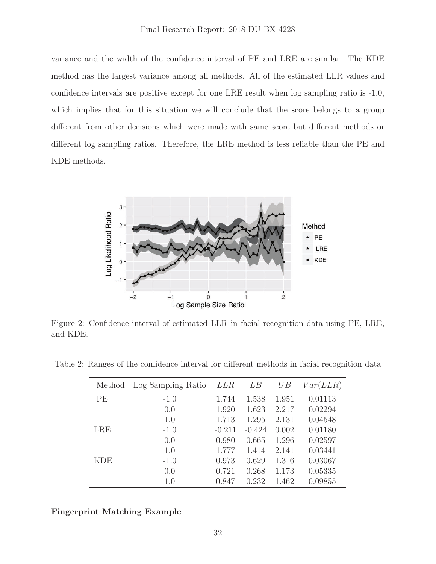variance and the width of the confidence interval of PE and LRE are similar. The KDE method has the largest variance among all methods. All of the estimated LLR values and confidence intervals are positive except for one LRE result when log sampling ratio is -1.0, which implies that for this situation we will conclude that the score belongs to a group different from other decisions which were made with same score but different methods or different log sampling ratios. Therefore, the LRE method is less reliable than the PE and KDE methods.



Figure 2: Confidence interval of estimated LLR in facial recognition data using PE, LRE, and KDE.

Table 2: Ranges of the confidence interval for different methods in facial recognition data

| Method     | Log Sampling Ratio | LLR      | LВ       | UB    | Var(LLR) |
|------------|--------------------|----------|----------|-------|----------|
| PE         | $-1.0$             | 1.744    | 1.538    | 1.951 | 0.01113  |
|            | 0.0                | 1.920    | 1.623    | 2.217 | 0.02294  |
|            | 1.0                | 1.713    | 1.295    | 2.131 | 0.04548  |
| <b>LRE</b> | $-1.0$             | $-0.211$ | $-0.424$ | 0.002 | 0.01180  |
|            | 0.0                | 0.980    | 0.665    | 1.296 | 0.02597  |
|            | 1.0                | 1.777    | 1.414    | 2.141 | 0.03441  |
| KDE        | $-1.0$             | 0.973    | 0.629    | 1.316 | 0.03067  |
|            | 0.0                | 0.721    | 0.268    | 1.173 | 0.05335  |
|            | 1.0                | 0.847    | 0.232    | 1.462 | 0.09855  |

**Fingerprint Matching Example**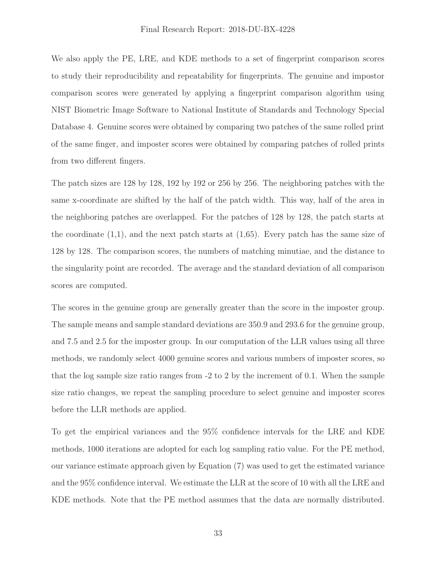We also apply the PE, LRE, and KDE methods to a set of fingerprint comparison scores to study their reproducibility and repeatability for fingerprints. The genuine and impostor comparison scores were generated by applying a fingerprint comparison algorithm using NIST Biometric Image Software to National Institute of Standards and Technology Special Database 4. Genuine scores were obtained by comparing two patches of the same rolled print of the same finger, and imposter scores were obtained by comparing patches of rolled prints from two different fingers.

The patch sizes are 128 by 128, 192 by 192 or 256 by 256. The neighboring patches with the same x-coordinate are shifted by the half of the patch width. This way, half of the area in the neighboring patches are overlapped. For the patches of 128 by 128, the patch starts at the coordinate  $(1,1)$ , and the next patch starts at  $(1,65)$ . Every patch has the same size of 128 by 128. The comparison scores, the numbers of matching minutiae, and the distance to the singularity point are recorded. The average and the standard deviation of all comparison scores are computed.

The scores in the genuine group are generally greater than the score in the imposter group. The sample means and sample standard deviations are 350.9 and 293.6 for the genuine group, and 7.5 and 2.5 for the imposter group. In our computation of the LLR values using all three methods, we randomly select 4000 genuine scores and various numbers of imposter scores, so that the log sample size ratio ranges from -2 to 2 by the increment of 0.1. When the sample size ratio changes, we repeat the sampling procedure to select genuine and imposter scores before the LLR methods are applied.

To get the empirical variances and the 95% confidence intervals for the LRE and KDE methods, 1000 iterations are adopted for each log sampling ratio value. For the PE method, our variance estimate approach given by Equation (7) was used to get the estimated variance and the 95% confidence interval. We estimate the LLR at the score of 10 with all the LRE and KDE methods. Note that the PE method assumes that the data are normally distributed.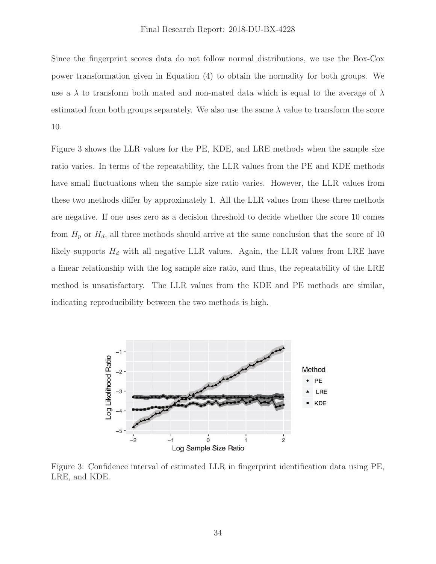Since the fingerprint scores data do not follow normal distributions, we use the Box-Cox power transformation given in Equation (4) to obtain the normality for both groups. We use a  $\lambda$  to transform both mated and non-mated data which is equal to the average of  $\lambda$ estimated from both groups separately. We also use the same  $\lambda$  value to transform the score 10.

Figure 3 shows the LLR values for the PE, KDE, and LRE methods when the sample size ratio varies. In terms of the repeatability, the LLR values from the PE and KDE methods have small fluctuations when the sample size ratio varies. However, the LLR values from these two methods differ by approximately 1. All the LLR values from these three methods are negative. If one uses zero as a decision threshold to decide whether the score 10 comes from  $H_p$  or  $H_d$ , all three methods should arrive at the same conclusion that the score of 10 likely supports  $H_d$  with all negative LLR values. Again, the LLR values from LRE have a linear relationship with the log sample size ratio, and thus, the repeatability of the LRE method is unsatisfactory. The LLR values from the KDE and PE methods are similar, indicating reproducibility between the two methods is high.



Figure 3: Confidence interval of estimated LLR in fingerprint identification data using PE, LRE, and KDE.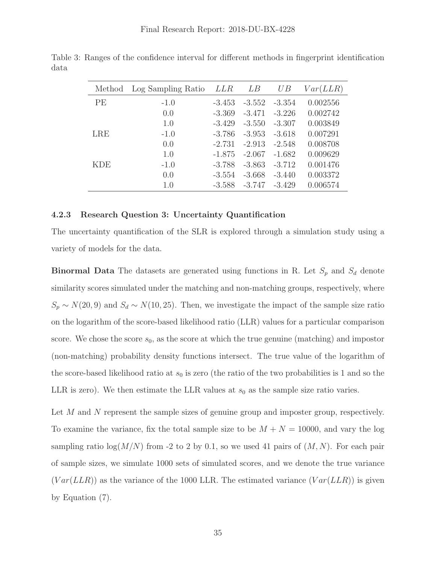| Method     | Log Sampling Ratio | <i>LLR</i> | LВ       | UB       | Var(LLR) |
|------------|--------------------|------------|----------|----------|----------|
| PE         | $-1.0$             | $-3.453$   | $-3.552$ | $-3.354$ | 0.002556 |
|            | 0.0                | $-3.369$   | $-3.471$ | $-3.226$ | 0.002742 |
|            | 1.0                | $-3.429$   | $-3.550$ | $-3.307$ | 0.003849 |
| <b>LRE</b> | $-1.0$             | $-3.786$   | $-3.953$ | $-3.618$ | 0.007291 |
|            | 0.0                | $-2.731$   | $-2.913$ | $-2.548$ | 0.008708 |
|            | 1.0                | $-1.875$   | $-2.067$ | $-1.682$ | 0.009629 |
| KDE        | $-1.0$             | $-3.788$   | $-3.863$ | $-3.712$ | 0.001476 |
|            | 0.0                | $-3.554$   | $-3.668$ | $-3.440$ | 0.003372 |
|            | 1.0                | $-3.588$   | $-3.747$ | $-3.429$ | 0.006574 |

<span id="page-36-0"></span>Table 3: Ranges of the confidence interval for different methods in fingerprint identification data

#### **4.2.3 Research Question 3: Uncertainty Quantification**

The uncertainty quantification of the SLR is explored through a simulation study using a variety of models for the data.

**Binormal Data** The datasets are generated using functions in R. Let  $S_p$  and  $S_d$  denote similarity scores simulated under the matching and non-matching groups, respectively, where  $S_p \sim N(20, 9)$  and  $S_d \sim N(10, 25)$ . Then, we investigate the impact of the sample size ratio on the logarithm of the score-based likelihood ratio (LLR) values for a particular comparison score. We chose the score  $s_0$ , as the score at which the true genuine (matching) and impostor (non-matching) probability density functions intersect. The true value of the logarithm of the score-based likelihood ratio at  $s_0$  is zero (the ratio of the two probabilities is 1 and so the LLR is zero). We then estimate the LLR values at  $s_0$  as the sample size ratio varies.

 $(Var(LLR))$  as the variance of the 1000 LLR. The estimated variance  $(Var(LLR))$  is given Let M and N represent the sample sizes of genuine group and imposter group, respectively. To examine the variance, fix the total sample size to be  $M + N = 10000$ , and vary the log sampling ratio  $\log(M/N)$  from -2 to 2 by 0.1, so we used 41 pairs of  $(M, N)$ . For each pair of sample sizes, we simulate 1000 sets of simulated scores, and we denote the true variance by Equation (7).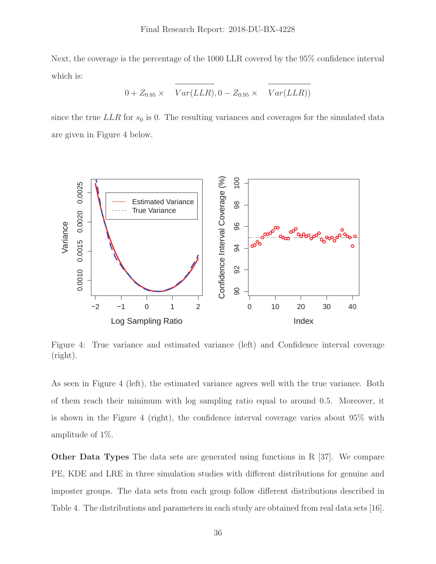Next, the coverage is the percentage of the 1000 LLR covered by the 95% confidence interval which is:

$$
0 + Z_{0.95} \times \overline{Var(LLR)}, 0 - Z_{0.95} \times \overline{Var(LLR)})
$$

since the true  $LLR$  for  $s_0$  is 0. The resulting variances and coverages for the simulated data are given in Figure 4 below.



Figure 4: True variance and estimated variance (left) and Confidence interval coverage (right).

As seen in Figure 4 (left), the estimated variance agrees well with the true variance. Both of them reach their minimum with log sampling ratio equal to around 0.5. Moreover, it is shown in the Figure 4 (right), the confidence interval coverage varies about 95% with amplitude of 1%.

**Other Data Types** The data sets are generated using functions in R [37]. We compare PE, KDE and LRE in three simulation studies with different distributions for genuine and imposter groups. The data sets from each group follow different distributions described in Table 4. The distributions and parameters in each study are obtained from real data sets [16].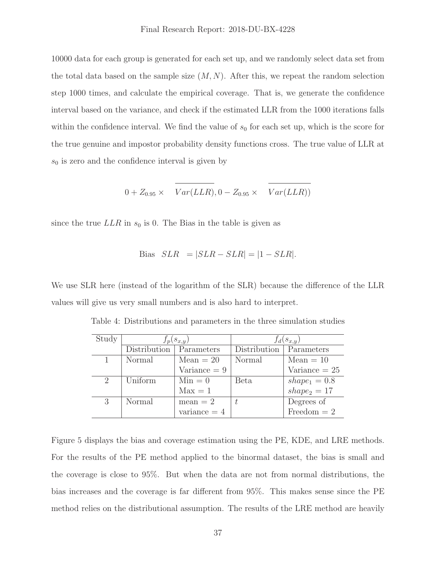10000 data for each group is generated for each set up, and we randomly select data set from the total data based on the sample size  $(M, N)$ . After this, we repeat the random selection step 1000 times, and calculate the empirical coverage. That is, we generate the confidence interval based on the variance, and check if the estimated LLR from the 1000 iterations falls within the confidence interval. We find the value of  $s_0$  for each set up, which is the score for the true genuine and impostor probability density functions cross. The true value of LLR at  $s_0$  is zero and the confidence interval is given by

$$
0 + Z_{0.95} \times \overline{Var(LLR)}, 0 - Z_{0.95} \times \overline{Var(LLR)})
$$

since the true  $LLR$  in  $s_0$  is 0. The Bias in the table is given as

Bias 
$$
SLR = |SLR - SLR| = |1 - SLR|
$$
.

We use SLR here (instead of the logarithm of the SLR) because the difference of the LLR values will give us very small numbers and is also hard to interpret.

|              |                       | $f_d(s_{x,y})$ |                        |  |  |  |
|--------------|-----------------------|----------------|------------------------|--|--|--|
| Distribution | Parameters            | Distribution   | Parameters             |  |  |  |
| Normal       | $Mean = 20$           | Normal         | $Mean = 10$            |  |  |  |
|              | $\text{Variance} = 9$ |                | $\text{Variance} = 25$ |  |  |  |
| Uniform      | $Min = 0$             | <b>Beta</b>    | $shape_1 = 0.8$        |  |  |  |
|              | $Max = 1$             |                | $shape_2 = 17$         |  |  |  |
| Normal       | $mean = 2$            |                | Degrees of             |  |  |  |
|              | variance $= 4$        |                | Freedom $= 2$          |  |  |  |
|              |                       | $f_p(s_{x,y})$ |                        |  |  |  |

Table 4: Distributions and parameters in the three simulation studies

Figure 5 displays the bias and coverage estimation using the PE, KDE, and LRE methods. For the results of the PE method applied to the binormal dataset, the bias is small and the coverage is close to 95%. But when the data are not from normal distributions, the bias increases and the coverage is far different from 95%. This makes sense since the PE method relies on the distributional assumption. The results of the LRE method are heavily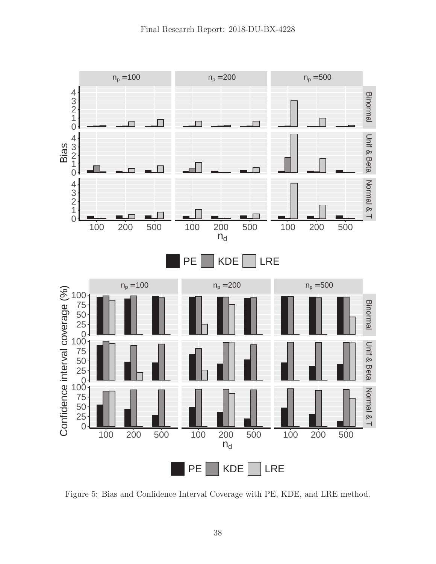

Figure 5: Bias and Confidence Interval Coverage with PE, KDE, and LRE method.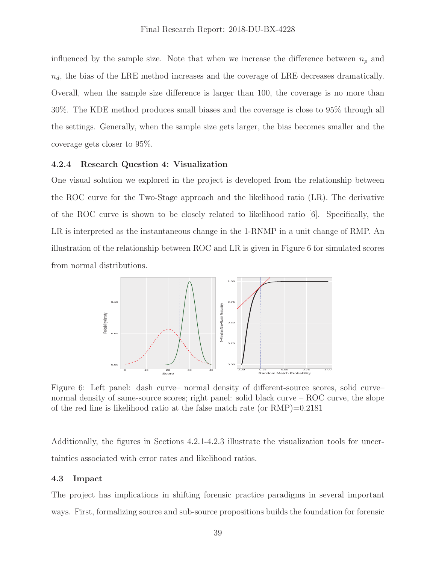<span id="page-40-0"></span>influenced by the sample size. Note that when we increase the difference between  $n_p$  and  $n_d$ , the bias of the LRE method increases and the coverage of LRE decreases dramatically. Overall, when the sample size difference is larger than 100, the coverage is no more than 30%. The KDE method produces small biases and the coverage is close to 95% through all the settings. Generally, when the sample size gets larger, the bias becomes smaller and the coverage gets closer to 95%.

#### **4.2.4 Research Question 4: Visualization**

One visual solution we explored in the project is developed from the relationship between the ROC curve for the Two-Stage approach and the likelihood ratio (LR). The derivative of the ROC curve is shown to be closely related to likelihood ratio [6]. Specifically, the LR is interpreted as the instantaneous change in the 1-RNMP in a unit change of RMP. An illustration of the relationship between ROC and LR is given in Figure 6 for simulated scores from normal distributions.



Figure 6: Left panel: dash curve– normal density of different-source scores, solid curve– normal density of same-source scores; right panel: solid black curve – ROC curve, the slope of the red line is likelihood ratio at the false match rate (or  $RMP$ )=0.2181

Additionally, the figures in Sections 4.2.1-4.2.3 illustrate the visualization tools for uncertainties associated with error rates and likelihood ratios.

#### **4.3 Impact**

The project has implications in shifting forensic practice paradigms in several important ways. First, formalizing source and sub-source propositions builds the foundation for forensic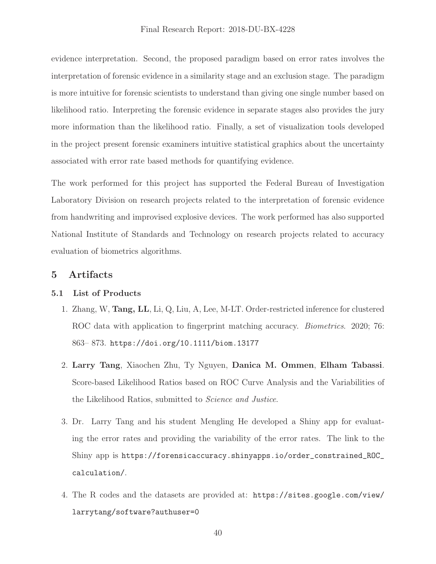<span id="page-41-0"></span>evidence interpretation. Second, the proposed paradigm based on error rates involves the interpretation of forensic evidence in a similarity stage and an exclusion stage. The paradigm is more intuitive for forensic scientists to understand than giving one single number based on likelihood ratio. Interpreting the forensic evidence in separate stages also provides the jury more information than the likelihood ratio. Finally, a set of visualization tools developed in the project present forensic examiners intuitive statistical graphics about the uncertainty associated with error rate based methods for quantifying evidence.

The work performed for this project has supported the Federal Bureau of Investigation Laboratory Division on research projects related to the interpretation of forensic evidence from handwriting and improvised explosive devices. The work performed has also supported National Institute of Standards and Technology on research projects related to accuracy evaluation of biometrics algorithms.

# **5 Artifacts**

# **5.1 List of Products**

- 1. Zhang, W, **Tang, LL**, Li, Q, Liu, A, Lee, M-LT. Order-restricted inference for clustered ROC data with application to fingerprint matching accuracy. *Biometrics*. 2020; 76: 863– 873. <https://doi.org/10.1111/biom.13177>
- 2. **Larry Tang**, Xiaochen Zhu, Ty Nguyen, **Danica M. Ommen**, **Elham Tabassi**. Score-based Likelihood Ratios based on ROC Curve Analysis and the Variabilities of the Likelihood Ratios, submitted to Science and Justice.
- 3. Dr. Larry Tang and his student Mengling He developed a Shiny app for evaluating the error rates and providing the variability of the error rates. The link to the Shiny app is [https://forensicaccuracy.shinyapps.io/order\\_constrained\\_ROC\\_](https://forensicaccuracy.shinyapps.io/order_constrained_ROC) calculation/.
- 4. The R codes and the datasets are provided at: [https://sites.google.com/view/](https://sites.google.com/view) larrytang/software?authuser=0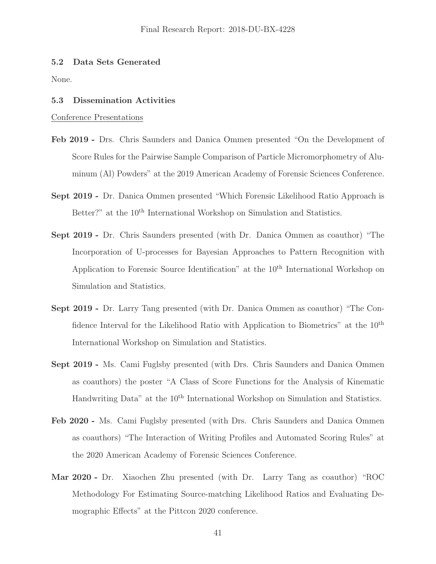### <span id="page-42-0"></span>**5.2 Data Sets Generated**

None.

#### **5.3 Dissemination Activities**

Conference Presentations

- **Feb 2019 -** Drs. Chris Saunders and Danica Ommen presented "On the Development of Score Rules for the Pairwise Sample Comparison of Particle Micromorphometry of Aluminum (Al) Powders" at the 2019 American Academy of Forensic Sciences Conference.
- **Sept 2019 -** Dr. Danica Ommen presented "Which Forensic Likelihood Ratio Approach is Better?" at the 10<sup>th</sup> International Workshop on Simulation and Statistics.
- **Sept 2019 -** Dr. Chris Saunders presented (with Dr. Danica Ommen as coauthor) "The Incorporation of U-processes for Bayesian Approaches to Pattern Recognition with Application to Forensic Source Identification" at the 10<sup>th</sup> International Workshop on Simulation and Statistics.
- **Sept 2019 -** Dr. Larry Tang presented (with Dr. Danica Ommen as coauthor) "The Confidence Interval for the Likelihood Ratio with Application to Biometrics" at the  $10<sup>th</sup>$ International Workshop on Simulation and Statistics.
- **Sept 2019 -** Ms. Cami Fuglsby presented (with Drs. Chris Saunders and Danica Ommen as coauthors) the poster "A Class of Score Functions for the Analysis of Kinematic Handwriting Data" at the 10<sup>th</sup> International Workshop on Simulation and Statistics.
- **Feb 2020 -** Ms. Cami Fuglsby presented (with Drs. Chris Saunders and Danica Ommen as coauthors) "The Interaction of Writing Profiles and Automated Scoring Rules" at the 2020 American Academy of Forensic Sciences Conference.
- **Mar 2020 -** Dr. Xiaochen Zhu presented (with Dr. Larry Tang as coauthor) "ROC Methodology For Estimating Source-matching Likelihood Ratios and Evaluating Demographic Effects" at the Pittcon 2020 conference.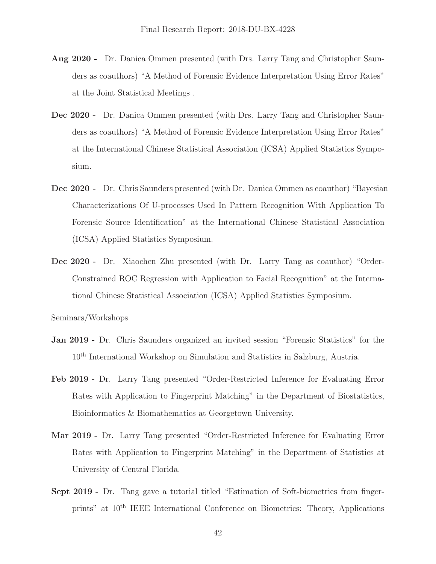- **Aug 2020 -** Dr. Danica Ommen presented (with Drs. Larry Tang and Christopher Saunders as coauthors) "A Method of Forensic Evidence Interpretation Using Error Rates" at the Joint Statistical Meetings .
- **Dec 2020 -** Dr. Danica Ommen presented (with Drs. Larry Tang and Christopher Saunders as coauthors) "A Method of Forensic Evidence Interpretation Using Error Rates" at the International Chinese Statistical Association (ICSA) Applied Statistics Symposium.
- **Dec 2020 -** Dr. Chris Saunders presented (with Dr. Danica Ommen as coauthor) "Bayesian Characterizations Of U-processes Used In Pattern Recognition With Application To Forensic Source Identification" at the International Chinese Statistical Association (ICSA) Applied Statistics Symposium.
- **Dec 2020 -** Dr. Xiaochen Zhu presented (with Dr. Larry Tang as coauthor) "Order-Constrained ROC Regression with Application to Facial Recognition" at the International Chinese Statistical Association (ICSA) Applied Statistics Symposium.

Seminars/Workshops

- **Jan 2019 -** Dr. Chris Saunders organized an invited session "Forensic Statistics" for the 10th International Workshop on Simulation and Statistics in Salzburg, Austria.
- **Feb 2019 -** Dr. Larry Tang presented "Order-Restricted Inference for Evaluating Error Rates with Application to Fingerprint Matching" in the Department of Biostatistics, Bioinformatics & Biomathematics at Georgetown University.
- **Mar 2019 -** Dr. Larry Tang presented "Order-Restricted Inference for Evaluating Error Rates with Application to Fingerprint Matching" in the Department of Statistics at University of Central Florida.
- **Sept 2019 -** Dr. Tang gave a tutorial titled "Estimation of Soft-biometrics from fingerprints" at 10th IEEE International Conference on Biometrics: Theory, Applications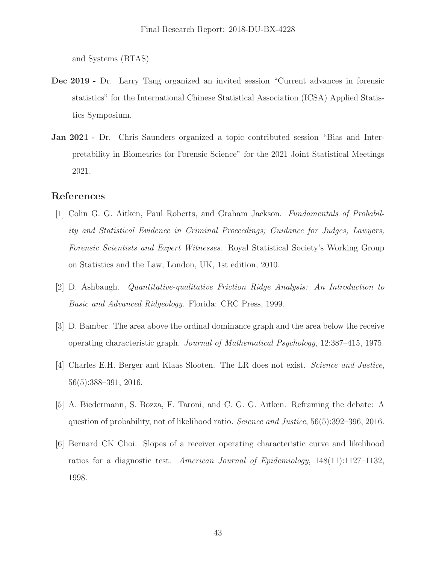and Systems (BTAS)

- **Dec 2019 -** Dr. Larry Tang organized an invited session "Current advances in forensic statistics" for the International Chinese Statistical Association (ICSA) Applied Statistics Symposium.
- **Jan 2021 -** Dr. Chris Saunders organized a topic contributed session "Bias and Interpretability in Biometrics for Forensic Science" for the 2021 Joint Statistical Meetings 2021.

# **References**

- [1] Colin G. G. Aitken, Paul Roberts, and Graham Jackson. Fundamentals of Probability and Statistical Evidence in Criminal Proceedings; Guidance for Judges, Lawyers, Forensic Scientists and Expert Witnesses. Royal Statistical Society's Working Group on Statistics and the Law, London, UK, 1st edition, 2010.
- [2] D. Ashbaugh. Quantitative-qualitative Friction Ridge Analysis: An Introduction to Basic and Advanced Ridgeology. Florida: CRC Press, 1999.
- [3] D. Bamber. The area above the ordinal dominance graph and the area below the receive operating characteristic graph. Journal of Mathematical Psychology, 12:387–415, 1975.
- [4] Charles E.H. Berger and Klaas Slooten. The LR does not exist. Science and Justice, 56(5):388–391, 2016.
- [5] A. Biedermann, S. Bozza, F. Taroni, and C. G. G. Aitken. Reframing the debate: A question of probability, not of likelihood ratio. Science and Justice, 56(5):392–396, 2016.
- [6] Bernard CK Choi. Slopes of a receiver operating characteristic curve and likelihood ratios for a diagnostic test. American Journal of Epidemiology, 148(11):1127–1132, 1998.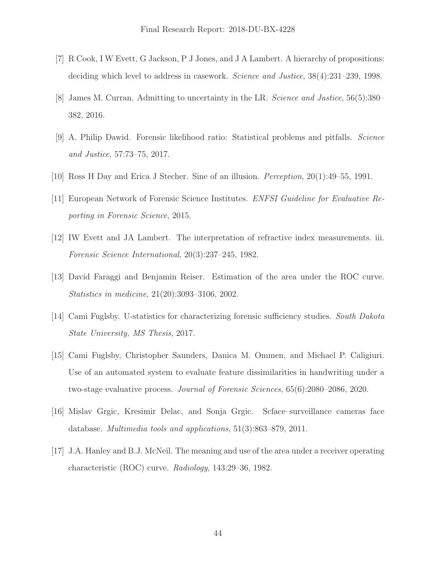- [7] R Cook, I W Evett, G Jackson, P J Jones, and J A Lambert. A hierarchy of propositions: deciding which level to address in casework. Science and Justice, 38(4):231–239, 1998.
- [8] James M. Curran. Admitting to uncertainty in the LR. Science and Justice, 56(5):380– 382, 2016.
- [9] A. Philip Dawid. Forensic likelihood ratio: Statistical problems and pitfalls. Science and Justice, 57:73–75, 2017.
- [10] Ross H Day and Erica J Stecher. Sine of an illusion. Perception, 20(1):49–55, 1991.
- [11] European Network of Forensic Science Institutes. ENFSI Guideline for Evaluative Reporting in Forensic Science, 2015.
- [12] IW Evett and JA Lambert. The interpretation of refractive index measurements. iii. Forensic Science International, 20(3):237–245, 1982.
- [13] David Faraggi and Benjamin Reiser. Estimation of the area under the ROC curve. Statistics in medicine, 21(20):3093–3106, 2002.
- [14] Cami Fuglsby. U-statistics for characterizing forensic sufficiency studies. South Dakota State University, MS Thesis, 2017.
- [15] Cami Fuglsby, Christopher Saunders, Danica M. Ommen, and Michael P. Caligiuri. Use of an automated system to evaluate feature dissimilarities in handwriting under a two-stage evaluative process. Journal of Forensic Sciences, 65(6):2080–2086, 2020.
- [16] Mislav Grgic, Kresimir Delac, and Sonja Grgic. Scface–surveillance cameras face database. Multimedia tools and applications, 51(3):863–879, 2011.
- [17] J.A. Hanley and B.J. McNeil. The meaning and use of the area under a receiver operating characteristic (ROC) curve. Radiology, 143:29–36, 1982.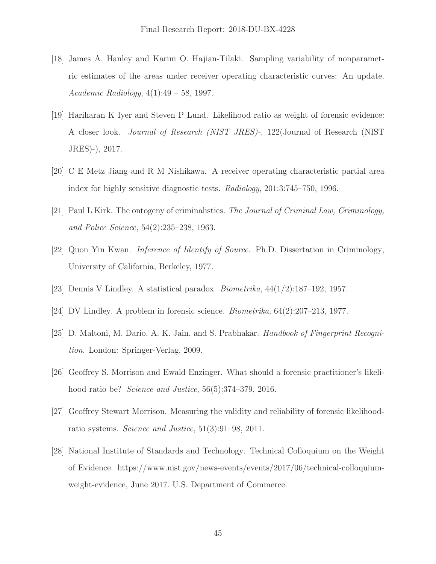- [18] James A. Hanley and Karim O. Hajian-Tilaki. Sampling variability of nonparametric estimates of the areas under receiver operating characteristic curves: An update. Academic Radiology, 4(1):49 – 58, 1997.
- [19] Hariharan K Iyer and Steven P Lund. Likelihood ratio as weight of forensic evidence: A closer look. Journal of Research (NIST JRES)-, 122(Journal of Research (NIST JRES)-), 2017.
- [20] C E Metz Jiang and R M Nishikawa. A receiver operating characteristic partial area index for highly sensitive diagnostic tests. Radiology, 201:3:745–750, 1996.
- [21] Paul L Kirk. The ontogeny of criminalistics. The Journal of Criminal Law, Criminology, and Police Science, 54(2):235–238, 1963.
- [22] Quon Yin Kwan. Inference of Identify of Source. Ph.D. Dissertation in Criminology, University of California, Berkeley, 1977.
- [23] Dennis V Lindley. A statistical paradox. *Biometrika*,  $44(1/2):187-192$ , 1957.
- [24] DV Lindley. A problem in forensic science. Biometrika, 64(2):207–213, 1977.
- [25] D. Maltoni, M. Dario, A. K. Jain, and S. Prabhakar. Handbook of Fingerprint Recognition. London: Springer-Verlag, 2009.
- [26] Geoffrey S. Morrison and Ewald Enzinger. What should a forensic practitioner's likelihood ratio be? *Science and Justice*, 56(5):374–379, 2016.
- [27] Geoffrey Stewart Morrison. Measuring the validity and reliability of forensic likelihoodratio systems. Science and Justice, 51(3):91–98, 2011.
- [28] National Institute of Standards and Technology. Technical Colloquium on the Weight of Evidence. <https://www.nist.gov/news-events/events/2017/06/technical-colloquium>weight-evidence, June 2017. U.S. Department of Commerce.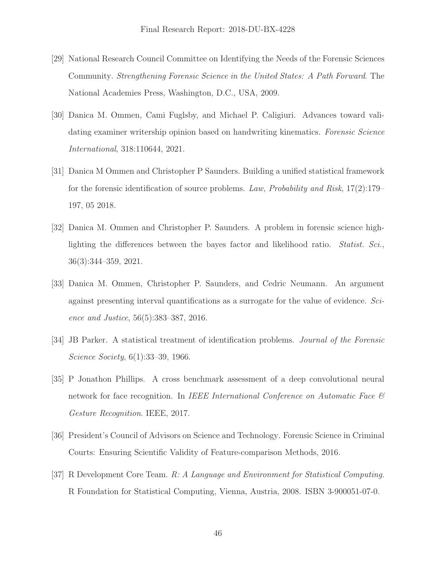- [29] National Research Council Committee on Identifying the Needs of the Forensic Sciences Community. Strengthening Forensic Science in the United States: A Path Forward. The National Academies Press, Washington, D.C., USA, 2009.
- [30] Danica M. Ommen, Cami Fuglsby, and Michael P. Caligiuri. Advances toward validating examiner writership opinion based on handwriting kinematics. Forensic Science International, 318:110644, 2021.
- [31] Danica M Ommen and Christopher P Saunders. Building a unified statistical framework for the forensic identification of source problems. Law, Probability and Risk,  $17(2)$ :179– 197, 05 2018.
- [32] Danica M. Ommen and Christopher P. Saunders. A problem in forensic science highlighting the differences between the bayes factor and likelihood ratio. *Statist. Sci.*, 36(3):344–359, 2021.
- [33] Danica M. Ommen, Christopher P. Saunders, and Cedric Neumann. An argument against presenting interval quantifications as a surrogate for the value of evidence. Science and Justice, 56(5):383–387, 2016.
- [34] JB Parker. A statistical treatment of identification problems. Journal of the Forensic Science Society, 6(1):33–39, 1966.
- [35] P Jonathon Phillips. A cross benchmark assessment of a deep convolutional neural network for face recognition. In IEEE International Conference on Automatic Face  $\mathcal{B}$ Gesture Recognition. IEEE, 2017.
- [36] President's Council of Advisors on Science and Technology. Forensic Science in Criminal Courts: Ensuring Scientific Validity of Feature-comparison Methods, 2016.
- [37] R Development Core Team. R: A Language and Environment for Statistical Computing. R Foundation for Statistical Computing, Vienna, Austria, 2008. ISBN 3-900051-07-0.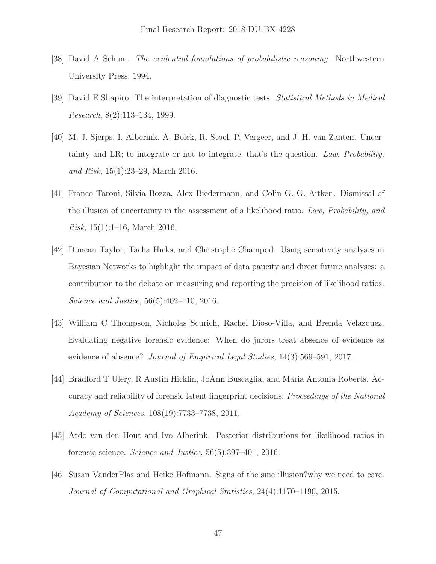- [38] David A Schum. The evidential foundations of probabilistic reasoning. Northwestern University Press, 1994.
- [39] David E Shapiro. The interpretation of diagnostic tests. Statistical Methods in Medical Research, 8(2):113–134, 1999.
- [40] M. J. Sjerps, I. Alberink, A. Bolck, R. Stoel, P. Vergeer, and J. H. van Zanten. Uncertainty and LR; to integrate or not to integrate, that's the question. Law, Probability, and Risk, 15(1):23–29, March 2016.
- [41] Franco Taroni, Silvia Bozza, Alex Biedermann, and Colin G. G. Aitken. Dismissal of the illusion of uncertainty in the assessment of a likelihood ratio. Law, Probability, and *Risk*,  $15(1):1-16$ , March 2016.
- [42] Duncan Taylor, Tacha Hicks, and Christophe Champod. Using sensitivity analyses in Bayesian Networks to highlight the impact of data paucity and direct future analyses: a contribution to the debate on measuring and reporting the precision of likelihood ratios. Science and Justice, 56(5):402–410, 2016.
- [43] William C Thompson, Nicholas Scurich, Rachel Dioso-Villa, and Brenda Velazquez. Evaluating negative forensic evidence: When do jurors treat absence of evidence as evidence of absence? Journal of Empirical Legal Studies, 14(3):569–591, 2017.
- [44] Bradford T Ulery, R Austin Hicklin, JoAnn Buscaglia, and Maria Antonia Roberts. Accuracy and reliability of forensic latent fingerprint decisions. Proceedings of the National Academy of Sciences, 108(19):7733–7738, 2011.
- [45] Ardo van den Hout and Ivo Alberink. Posterior distributions for likelihood ratios in forensic science. Science and Justice, 56(5):397–401, 2016.
- [46] Susan VanderPlas and Heike Hofmann. Signs of the sine illusion?why we need to care. Journal of Computational and Graphical Statistics, 24(4):1170–1190, 2015.